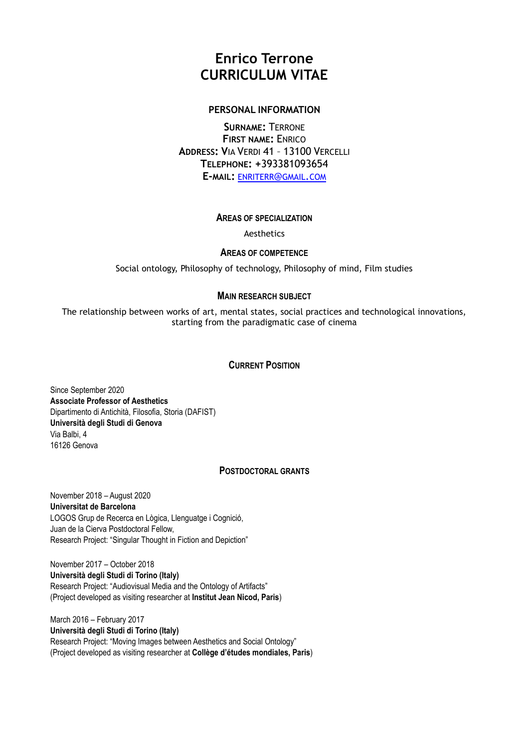# **Enrico Terrone CURRICULUM VITAE**

# **PERSONAL INFORMATION**

**SURNAME:** TERRONE **FIRST NAME:** ENRICO **ADDRESS: V**IA VERDI 41 – 13100 VERCELLI **TELEPHONE: +**393381093654 **E-MAIL:** [ENRITERR](mailto:enriterr@gmail.com)@GMAIL.COM

# **AREAS OF SPECIALIZATION**

Aesthetics

# **AREAS OF COMPETENCE**

Social ontology, Philosophy of technology, Philosophy of mind, Film studies

# **MAIN RESEARCH SUBJECT**

The relationship between works of art, mental states, social practices and technological innovations, starting from the paradigmatic case of cinema

# **CURRENT POSITION**

Since September 2020 **Associate Professor of Aesthetics** Dipartimento di Antichità, Filosofia, Storia (DAFIST) **Università degli Studi di Genova** Via Balbi, 4 16126 Genova

## **POSTDOCTORAL GRANTS**

November 2018 – August 2020 **Universitat de Barcelona** LOGOS Grup de Recerca en Lògica, Llenguatge i Cognició, Juan de la Cierva Postdoctoral Fellow, Research Project: "Singular Thought in Fiction and Depiction"

November 2017 – October 2018 **Università degli Studi di Torino (Italy)** Research Project: "Audiovisual Media and the Ontology of Artifacts" (Project developed as visiting researcher at **Institut Jean Nicod, Paris**)

March 2016 – February 2017 **Università degli Studi di Torino (Italy)** Research Project: "Moving Images between Aesthetics and Social Ontology" (Project developed as visiting researcher at **Collège d'études mondiales, Paris**)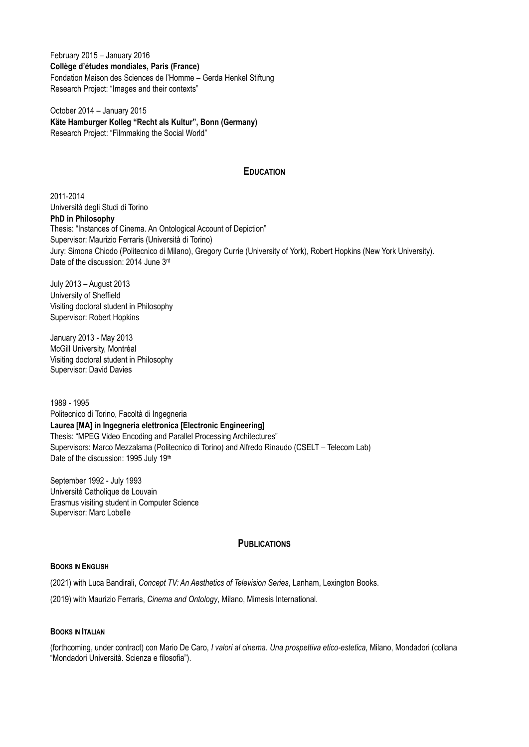February 2015 – January 2016 **Collège d'études mondiales, Paris (France)** Fondation Maison des Sciences de l'Homme – Gerda Henkel Stiftung Research Project: "Images and their contexts"

October 2014 – January 2015 **Käte Hamburger Kolleg "Recht als Kultur", Bonn (Germany)** Research Project: "Filmmaking the Social World"

# **EDUCATION**

2011-2014 Università degli Studi di Torino **PhD in Philosophy** Thesis: "Instances of Cinema. An Ontological Account of Depiction" Supervisor: Maurizio Ferraris (Università di Torino) Jury: Simona Chiodo (Politecnico di Milano), Gregory Currie (University of York), Robert Hopkins (New York University). Date of the discussion: 2014 June 3rd

July 2013 – August 2013 University of Sheffield Visiting doctoral student in Philosophy Supervisor: Robert Hopkins

January 2013 - May 2013 McGill University, Montréal Visiting doctoral student in Philosophy Supervisor: David Davies

1989 - 1995 Politecnico di Torino, Facoltà di Ingegneria **Laurea [MA] in Ingegneria elettronica [Electronic Engineering]** Thesis: "MPEG Video Encoding and Parallel Processing Architectures" Supervisors: Marco Mezzalama (Politecnico di Torino) and Alfredo Rinaudo (CSELT – Telecom Lab) Date of the discussion: 1995 July 19th

September 1992 - July 1993 Université Catholique de Louvain Erasmus visiting student in Computer Science Supervisor: Marc Lobelle

## **PUBLICATIONS**

## **BOOKS IN ENGLISH**

(2021) with Luca Bandirali, *Concept TV: An Aesthetics of Television Series*, Lanham, Lexington Books.

(2019) with Maurizio Ferraris, *Cinema and Ontology*, Milano, Mimesis International.

## **BOOKS IN ITALIAN**

(forthcoming, under contract) con Mario De Caro, *I valori al cinema. Una prospettiva etico-estetica*, Milano, Mondadori (collana "Mondadori Università. Scienza e filosofia").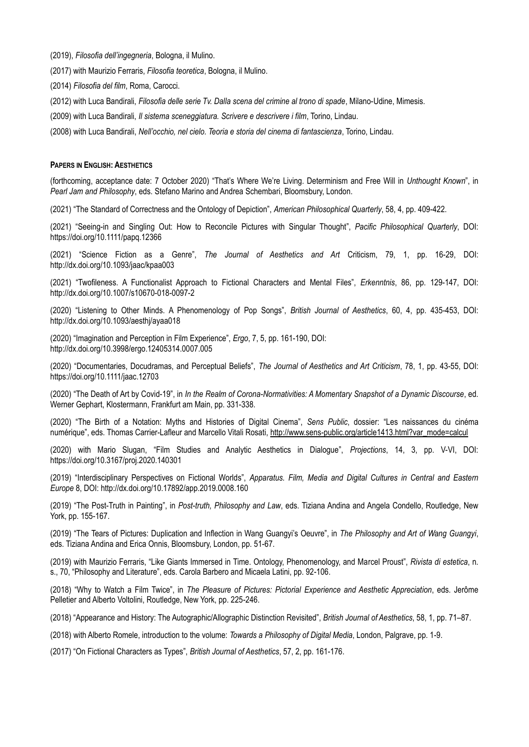(2019), *Filosofia dell'ingegneria*, Bologna, il Mulino.

(2017) with Maurizio Ferraris, *Filosofia teoretica*, Bologna, il Mulino.

(2014) *Filosofia del film*, Roma, Carocci.

(2012) with Luca Bandirali, *Filosofia delle serie Tv. Dalla scena del crimine al trono di spade*, Milano-Udine, Mimesis.

(2009) with Luca Bandirali, *Il sistema sceneggiatura. Scrivere e descrivere i film*, Torino, Lindau.

(2008) with Luca Bandirali, *Nell'occhio, nel cielo. Teoria e storia del cinema di fantascienza*, Torino, Lindau.

#### **PAPERS IN ENGLISH: AESTHETICS**

(forthcoming, acceptance date: 7 October 2020) "That's Where We're Living. Determinism and Free Will in *Unthought Known*", in *Pearl Jam and Philosophy*, eds. Stefano Marino and Andrea Schembari, Bloomsbury, London.

(2021) "The Standard of Correctness and the Ontology of Depiction", *American Philosophical Quarterly*, 58, 4, pp. 409-422.

(2021) "Seeing-in and Singling Out: How to Reconcile Pictures with Singular Thought", *Pacific Philosophical Quarterly*, DOI: https://doi.org/10.1111/papq.12366

(2021) "Science Fiction as a Genre", *The Journal of Aesthetics and Art* Criticism, 79, 1, pp. 16-29, DOI: http://dx.doi.org/10.1093/jaac/kpaa003

(2021) "Twofileness. A Functionalist Approach to Fictional Characters and Mental Files", *Erkenntnis*, 86, pp. 129-147, DOI: http://dx.doi.org/10.1007/s10670-018-0097-2

(2020) "Listening to Other Minds. A Phenomenology of Pop Songs", *British Journal of Aesthetics*, 60, 4, pp. 435-453, DOI: http://dx.doi.org/10.1093/aesthj/ayaa018

(2020) "Imagination and Perception in Film Experience", *Ergo*, 7, 5, pp. 161-190, DOI: http://dx.doi.org/10.3998/ergo.12405314.0007.005

(2020) "Documentaries, Docudramas, and Perceptual Beliefs", *The Journal of Aesthetics and Art Criticism*, 78, 1, pp. 43-55, DOI: https://doi.org/10.1111/jaac.12703

(2020) "The Death of Art by Covid-19", in *In the Realm of Corona-Normativities: A Momentary Snapshot of a Dynamic Discourse*, ed. Werner Gephart, Klostermann, Frankfurt am Main, pp. 331-338.

(2020) "The Birth of a Notation: Myths and Histories of Digital Cinema", *Sens Public*, dossier: "Les naissances du cinéma numérique", eds. Thomas Carrier-Lafleur and Marcello Vitali Rosati, [http://www.sens-public.org/article1413.html?var\\_mode=calcul](http://www.sens-public.org/article1413.html?var_mode=calcul)

(2020) with Mario Slugan, "Film Studies and Analytic Aesthetics in Dialogue", *Projections*, 14, 3, pp. V-VI, DOI: https://doi.org/10.3167/proj.2020.140301

(2019) "Interdisciplinary Perspectives on Fictional Worlds", *Apparatus. Film, Media and Digital Cultures in Central and Eastern Europe* 8, DOI: http://dx.doi.org/10.17892/app.2019.0008.160

(2019) "The Post-Truth in Painting", in *Post-truth, Philosophy and Law*, eds. Tiziana Andina and Angela Condello, Routledge, New York, pp. 155-167.

(2019) "The Tears of Pictures: Duplication and Inflection in Wang Guangyi's Oeuvre", in *The Philosophy and Art of Wang Guangyi*, eds. Tiziana Andina and Erica Onnis, Bloomsbury, London, pp. 51-67.

(2019) with Maurizio Ferraris, "Like Giants Immersed in Time. Ontology, Phenomenology, and Marcel Proust", *Rivista di estetica*, n. s., 70, "Philosophy and Literature", eds. Carola Barbero and Micaela Latini, pp. 92-106.

(2018) "Why to Watch a Film Twice", in *The Pleasure of Pictures: Pictorial Experience and Aesthetic Appreciation*, eds. Jerôme Pelletier and Alberto Voltolini, Routledge, New York, pp. 225-246.

(2018) "Appearance and History: The Autographic/Allographic Distinction Revisited", *British Journal of Aesthetics*, 58, 1, pp. 71–87.

(2018) with Alberto Romele, introduction to the volume: *Towards a Philosophy of Digital Media*, London, Palgrave, pp. 1-9.

(2017) "On Fictional Characters as Types", *British Journal of Aesthetics*, 57, 2, pp. 161-176.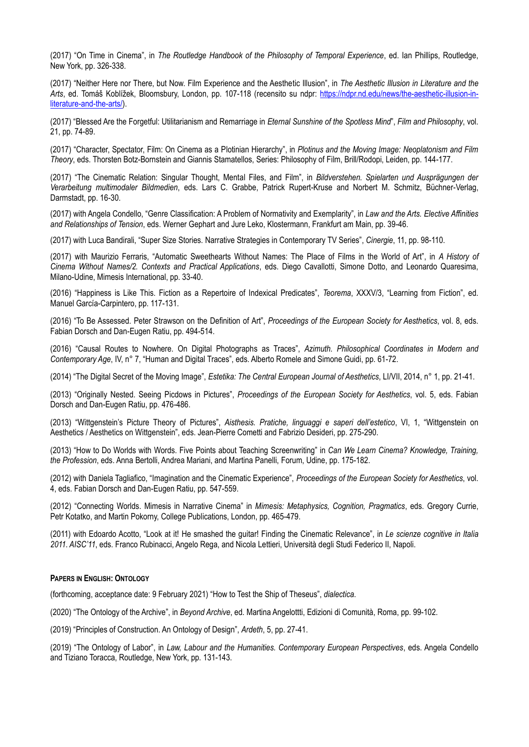(2017) "On Time in Cinema", in *The Routledge Handbook of the Philosophy of Temporal Experience*, ed. Ian Phillips, Routledge, New York, pp. 326-338.

(2017) "Neither Here nor There, but Now. Film Experience and the Aesthetic Illusion", in *The Aesthetic Illusion in Literature and the Arts*, ed. Tomáš Koblížek, Bloomsbury, London, pp. 107-118 (recensito su ndpr: [https://ndpr.nd.edu/news/the-aesthetic-illusion-in](https://ndpr.nd.edu/news/the-aesthetic-illusion-in-literature-and-the-arts/)[literature-and-the-arts/\)](https://ndpr.nd.edu/news/the-aesthetic-illusion-in-literature-and-the-arts/).

(2017) "Blessed Are the Forgetful: Utilitarianism and Remarriage in *Eternal Sunshine of the Spotless Mind*", *Film and Philosophy*, vol. 21, pp. 74-89.

(2017) "Character, Spectator, Film: On Cinema as a Plotinian Hierarchy", in *Plotinus and the Moving Image: Neoplatonism and Film Theory*, eds. Thorsten Botz-Bornstein and Giannis Stamatellos, Series: Philosophy of Film, Brill/Rodopi, Leiden, pp. 144-177.

(2017) "The Cinematic Relation: Singular Thought, Mental Files, and Film", in *Bildverstehen. Spielarten und Ausprägungen der Verarbeitung multimodaler Bildmedien*, eds. Lars C. Grabbe, Patrick Rupert-Kruse and Norbert M. Schmitz, Büchner-Verlag, Darmstadt, pp. 16-30.

(2017) with Angela Condello, "Genre Classification: A Problem of Normativity and Exemplarity", in *Law and the Arts. Elective Affinities and Relationships of Tension*, eds. Werner Gephart and Jure Leko, Klostermann, Frankfurt am Main, pp. 39-46.

(2017) with Luca Bandirali, "Super Size Stories. Narrative Strategies in Contemporary TV Series", *Cinergie*, 11, pp. 98-110.

(2017) with Maurizio Ferraris, "Automatic Sweethearts Without Names: The Place of Films in the World of Art", in *A History of Cinema Without Names/2. Contexts and Practical Applications*, eds. Diego Cavallotti, Simone Dotto, and Leonardo Quaresima, Milano-Udine, Mimesis International, pp. 33-40.

(2016) "Happiness is Like This. Fiction as a Repertoire of Indexical Predicates", *Teorema*, XXXV/3, "Learning from Fiction", ed. Manuel García-Carpintero, pp. 117-131.

(2016) "To Be Assessed. Peter Strawson on the Definition of Art", *Proceedings of the European Society for Aesthetics*, vol. 8, eds. Fabian Dorsch and Dan-Eugen Ratiu, pp. 494-514.

(2016) "Causal Routes to Nowhere. On Digital Photographs as Traces", *Azimuth. Philosophical Coordinates in Modern and Contemporary Age*, IV, n° 7, "Human and Digital Traces", eds. Alberto Romele and Simone Guidi, pp. 61-72.

(2014) "The Digital Secret of the Moving Image", *Estetika: The Central European Journal of Aesthetics*, LI/VII, 2014, n° 1, pp. 21-41.

(2013) "Originally Nested. Seeing Picdows in Pictures", *Proceedings of the European Society for Aesthetics*, vol. 5, eds. Fabian Dorsch and Dan-Eugen Ratiu, pp. 476-486.

(2013) "Wittgenstein's Picture Theory of Pictures", *Aisthesis. Pratiche, linguaggi e saperi dell'estetico*, VI, 1, "Wittgenstein on Aesthetics / Aesthetics on Wittgenstein", eds. Jean-Pierre Cometti and Fabrizio Desideri, pp. 275-290.

(2013) "How to Do Worlds with Words. Five Points about Teaching Screenwriting" in *Can We Learn Cinema? Knowledge, Training, the Profession*, eds. Anna Bertolli, Andrea Mariani, and Martina Panelli, Forum, Udine, pp. 175-182.

(2012) with Daniela Tagliafico, "Imagination and the Cinematic Experience", *Proceedings of the European Society for Aesthetics*, vol. 4, eds. Fabian Dorsch and Dan-Eugen Ratiu, pp. 547-559.

(2012) "Connecting Worlds. Mimesis in Narrative Cinema" in *Mimesis: Metaphysics, Cognition, Pragmatics*, eds. Gregory Currie, Petr Kotatko, and Martin Pokorny, College Publications, London, pp. 465-479.

(2011) with Edoardo Acotto, "Look at it! He smashed the guitar! Finding the Cinematic Relevance", in *Le scienze cognitive in Italia 2011. AISC'11*, eds. Franco Rubinacci, Angelo Rega, and Nicola Lettieri, Università degli Studi Federico II, Napoli.

## **PAPERS IN ENGLISH: ONTOLOGY**

(forthcoming, acceptance date: 9 February 2021) "How to Test the Ship of Theseus", *dialectica*.

(2020) "The Ontology of the Archive", in *Beyond Archive*, ed. Martina Angelottti, Edizioni di Comunità, Roma, pp. 99-102.

(2019) "Principles of Construction. An Ontology of Design", *Ardeth*, 5, pp. 27-41.

(2019) "The Ontology of Labor", in *Law, Labour and the Humanities. Contemporary European Perspectives*, eds. Angela Condello and Tiziano Toracca, Routledge, New York, pp. 131-143.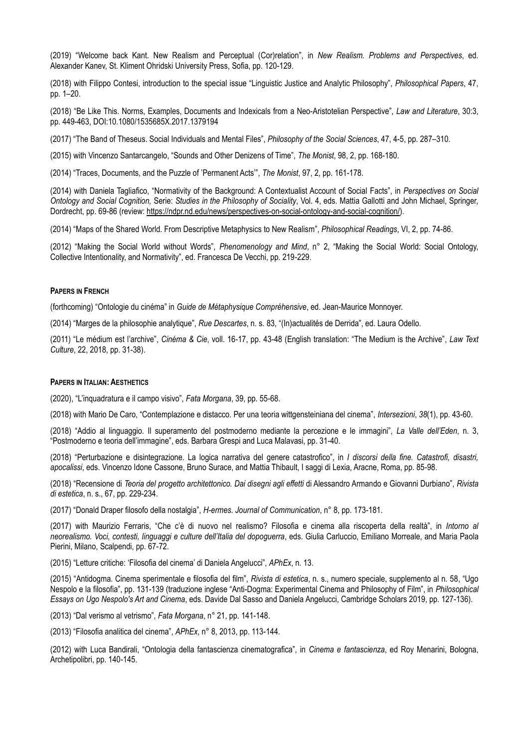(2019) "Welcome back Kant. New Realism and Perceptual (Cor)relation", in *New Realism. Problems and Perspectives*, ed. Alexander Kanev, St. Kliment Ohridski University Press, Sofia, pp. 120-129.

(2018) with Filippo Contesi, introduction to the special issue "Linguistic Justice and Analytic Philosophy", *Philosophical Papers*, 47, pp. 1–20.

(2018) "Be Like This. Norms, Examples, Documents and Indexicals from a Neo-Aristotelian Perspective", *Law and Literature*, 30:3, pp. 449-463, DOI:10.1080/1535685X.2017.1379194

(2017) "The Band of Theseus. Social Individuals and Mental Files", *Philosophy of the Social Sciences*, 47, 4-5, pp. 287–310.

(2015) with Vincenzo Santarcangelo, "Sounds and Other Denizens of Time", *The Monist*, 98, 2, pp. 168-180.

(2014) "Traces, Documents, and the Puzzle of 'Permanent Acts'", *The Monist*, 97, 2, pp. 161-178.

(2014) with Daniela Tagliafico, "Normativity of the Background: A Contextualist Account of Social Facts", in *Perspectives on Social Ontology and Social Cognition,* Serie: *Studies in the Philosophy of Sociality*, Vol. 4, eds. Mattia Gallotti and John Michael, Springer, Dordrecht, pp. 69-86 (review: [https://ndpr.nd.edu/news/perspectives-on-social-ontology-and-social-cognition/](https://ndpr.nd.edu/news/perspectives-on-social-ontology-and-social-cognition)).

(2014) "Maps of the Shared World. From Descriptive Metaphysics to New Realism", *Philosophical Readings*, VI, 2, pp. 74-86.

(2012) "Making the Social World without Words", *Phenomenology and Mind*, n° 2, "Making the Social World: Social Ontology, Collective Intentionality, and Normativity", ed. Francesca De Vecchi, pp. 219-229.

#### **PAPERS IN FRENCH**

(forthcoming) "Ontologie du cinéma" in *Guide de Métaphysique Compréhensive*, ed. Jean-Maurice Monnoyer.

(2014) "Marges de la philosophie analytique", *Rue Descartes*, n. s. 83, "(In)actualités de Derrida", ed. Laura Odello.

(2011) "Le médium est l'archive", *Cinéma & Cie*, voll. 16-17, pp. 43-48 (English translation: "The Medium is the Archive", *Law Text Culture*, 22, 2018, pp. 31-38).

#### **PAPERS IN ITALIAN: AESTHETICS**

(2020), "L'inquadratura e il campo visivo", *Fata Morgana*, 39, pp. 55-68.

(2018) with Mario De Caro, "Contemplazione e distacco. Per una teoria wittgensteiniana del cinema", *Intersezioni*, *38*(1), pp. 43-60.

(2018) "Addio al linguaggio. Il superamento del postmoderno mediante la percezione e le immagini", *La Valle dell'Eden*, n. 3, "Postmoderno e teoria dell'immagine", eds. Barbara Grespi and Luca Malavasi, pp. 31-40.

(2018) "Perturbazione e disintegrazione. La logica narrativa del genere catastrofico", in *I discorsi della fine. Catastrofi, disastri, apocalissi*, eds. Vincenzo Idone Cassone, Bruno Surace, and Mattia Thibault, I saggi di Lexia, Aracne, Roma, pp. 85-98.

(2018) "Recensione di *Teoria del progetto architettonico. Dai disegni agli effetti* di Alessandro Armando e Giovanni Durbiano", *Rivista di estetica*, n. s., 67, pp. 229-234.

(2017) "Donald Draper filosofo della nostalgia", *H-ermes. Journal of Communication*, n° 8, pp. 173-181.

(2017) with Maurizio Ferraris, "Che c'è di nuovo nel realismo? Filosofia e cinema alla riscoperta della realtà", in *Intorno al neorealismo. Voci, contesti, linguaggi e culture dell'Italia del dopoguerra*, eds. Giulia Carluccio, Emiliano Morreale, and Maria Paola Pierini, Milano, Scalpendi, pp. 67-72.

(2015) "Letture critiche: 'Filosofia del cinema' di Daniela Angelucci", *APhEx*, n. 13.

(2015) "Antidogma. Cinema sperimentale e filosofia del film", *Rivista di estetica*, n. s., numero speciale, supplemento al n. 58, "Ugo Nespolo e la filosofia", pp. 131-139 (traduzione inglese "Anti-Dogma: Experimental Cinema and Philosophy of Film", in *Philosophical Essays on Ugo Nespolo's Art and Cinema*, eds. Davide Dal Sasso and Daniela Angelucci, Cambridge Scholars 2019, pp. 127-136).

(2013) "Dal verismo al vetrismo", *Fata Morgana*, n° 21, pp. 141-148.

(2013) "Filosofia analitica del cinema", *APhEx*, n° 8, 2013, pp. 113-144.

(2012) with Luca Bandirali, "Ontologia della fantascienza cinematografica", in *Cinema e fantascienza*, ed Roy Menarini, Bologna, Archetipolibri, pp. 140-145.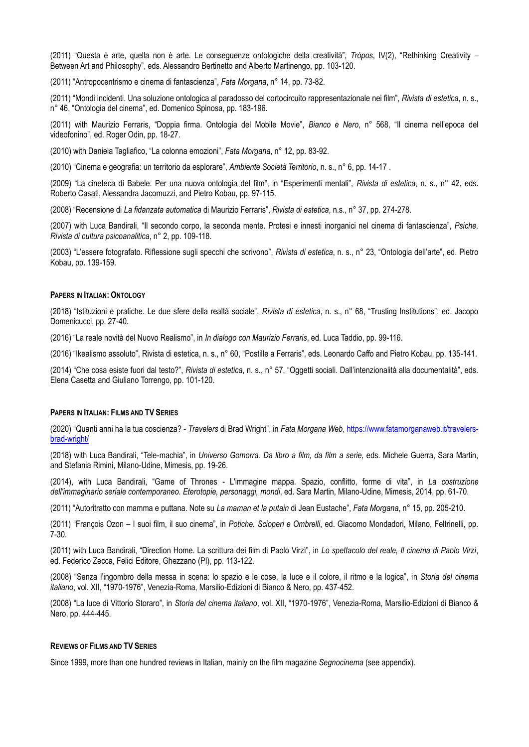(2011) "Questa è arte, quella non è arte. Le conseguenze ontologiche della creatività", *Tròpos*, IV(2), "Rethinking Creativity – Between Art and Philosophy", eds. Alessandro Bertinetto and Alberto Martinengo, pp. 103-120.

(2011) "Antropocentrismo e cinema di fantascienza", *Fata Morgana*, n° 14, pp. 73-82.

(2011) "Mondi incidenti. Una soluzione ontologica al paradosso del cortocircuito rappresentazionale nei film", *Rivista di estetica*, n. s., n° 46, "Ontologia del cinema", ed. Domenico Spinosa, pp. 183-196.

(2011) with Maurizio Ferraris, "Doppia firma. Ontologia del Mobile Movie", *Bianco e Nero*, n° 568, "Il cinema nell'epoca del videofonino", ed. Roger Odin, pp. 18-27.

(2010) with Daniela Tagliafico, "La colonna emozioni", *Fata Morgana*, n° 12, pp. 83-92.

(2010) "Cinema e geografia: un territorio da esplorare", *Ambiente Società Territorio*, n. s., n° 6, pp. 14-17 .

(2009) "La cineteca di Babele. Per una nuova ontologia del film", in "Esperimenti mentali", *Rivista di estetica*, n. s., n° 42, eds. Roberto Casati, Alessandra Jacomuzzi, and Pietro Kobau, pp. 97-115.

(2008) "Recensione di *La fidanzata automatica* di Maurizio Ferraris", *Rivista di estetica*, n.s., n° 37, pp. 274-278.

(2007) with Luca Bandirali, "Il secondo corpo, la seconda mente. Protesi e innesti inorganici nel cinema di fantascienza", *Psiche. Rivista di cultura psicoanalitica*, n° 2, pp. 109-118.

(2003) "L'essere fotografato. Riflessione sugli specchi che scrivono", *Rivista di estetica*, n. s., n° 23, "Ontologia dell'arte", ed. Pietro Kobau, pp. 139-159.

#### **PAPERS IN ITALIAN: ONTOLOGY**

(2018) "Istituzioni e pratiche. Le due sfere della realtà sociale", *Rivista di estetica*, n. s., n° 68, "Trusting Institutions", ed. Jacopo Domenicucci, pp. 27-40.

(2016) "La reale novità del Nuovo Realismo", in *In dialogo con Maurizio Ferraris*, ed. Luca Taddio, pp. 99-116.

(2016) "Ikealismo assoluto", Rivista di estetica, n. s., n° 60, "Postille a Ferraris", eds. Leonardo Caffo and Pietro Kobau, pp. 135-141.

(2014) "Che cosa esiste fuori dal testo?", *Rivista di estetica*, n. s., n° 57, "Oggetti sociali. Dall'intenzionalità alla documentalità", eds. Elena Casetta and Giuliano Torrengo, pp. 101-120.

#### **PAPERS IN ITALIAN: FILMS AND TV SERIES**

(2020) "Quanti anni ha la tua coscienza? - *Travelers* di Brad Wright", in *Fata Morgana Web*, [https://www.fatamorganaweb.it/travelers](https://www.fatamorganaweb.it/travelers-brad-wright/)[brad-wright/](https://www.fatamorganaweb.it/travelers-brad-wright/)

(2018) with Luca Bandirali, "Tele-machia", in *Universo Gomorra. Da libro a film, da film a serie,* eds. Michele Guerra, Sara Martin, and Stefania Rimini, Milano-Udine, Mimesis, pp. 19-26.

(2014), with Luca Bandirali, "Game of Thrones - L'immagine mappa. Spazio, conflitto, forme di vita", in *La costruzione dell'immaginario seriale contemporaneo. Eterotopie, personaggi, mondi*, ed. Sara Martin, Milano-Udine, Mimesis, 2014, pp. 61-70.

(2011) "Autoritratto con mamma e puttana. Note su *La maman et la putain* di Jean Eustache", *Fata Morgana*, n° 15, pp. 205-210.

(2011) "François Ozon – I suoi film, il suo cinema", in *Potiche. Scioperi e Ombrelli*, ed. Giacomo Mondadori, Milano, Feltrinelli, pp. 7-30.

(2011) with Luca Bandirali, "Direction Home. La scrittura dei film di Paolo Virzì", in *Lo spettacolo del reale, Il cinema di Paolo Virzì*, ed. Federico Zecca, Felici Editore, Ghezzano (PI), pp. 113-122.

(2008) "Senza l'ingombro della messa in scena: lo spazio e le cose, la luce e il colore, il ritmo e la logica", in *Storia del cinema italiano*, vol. XII, "1970-1976", Venezia-Roma, Marsilio-Edizioni di Bianco & Nero, pp. 437-452.

(2008) "La luce di Vittorio Storaro", in *Storia del cinema italiano*, vol. XII, "1970-1976", Venezia-Roma, Marsilio-Edizioni di Bianco & Nero, pp. 444-445.

## **REVIEWS OF FILMS AND TV SERIES**

Since 1999, more than one hundred reviews in Italian, mainly on the film magazine *Segnocinema* (see appendix).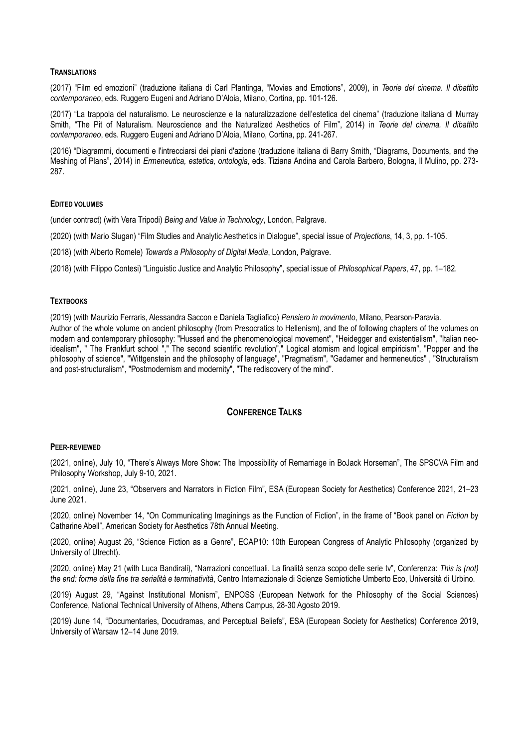#### **TRANSLATIONS**

(2017) "Film ed emozioni" (traduzione italiana di Carl Plantinga, "Movies and Emotions", 2009), in *Teorie del cinema. Il dibattito contemporaneo*, eds. Ruggero Eugeni and Adriano D'Aloia, Milano, Cortina, pp. 101-126.

(2017) "La trappola del naturalismo. Le neuroscienze e la naturalizzazione dell'estetica del cinema" (traduzione italiana di Murray Smith, "The Pit of Naturalism. Neuroscience and the Naturalized Aesthetics of Film", 2014) in *Teorie del cinema. Il dibattito contemporaneo*, eds. Ruggero Eugeni and Adriano D'Aloia, Milano, Cortina, pp. 241-267.

(2016) "Diagrammi, documenti e l'intrecciarsi dei piani d'azione (traduzione italiana di Barry Smith, "Diagrams, Documents, and the Meshing of Plans", 2014) in *Ermeneutica, estetica, ontologia*, eds. Tiziana Andina and Carola Barbero, Bologna, Il Mulino, pp. 273- 287.

#### **EDITED VOLUMES**

(under contract) (with Vera Tripodi) *Being and Value in Technology*, London, Palgrave.

(2020) (with Mario Slugan) "Film Studies and Analytic Aesthetics in Dialogue", special issue of *Projections*, 14, 3, pp. 1-105.

(2018) (with Alberto Romele) *Towards a Philosophy of Digital Media*, London, Palgrave.

(2018) (with Filippo Contesi) "Linguistic Justice and Analytic Philosophy", special issue of *Philosophical Papers*, 47, pp. 1–182.

## **TEXTBOOKS**

(2019) (with Maurizio Ferraris, Alessandra Saccon e Daniela Tagliafico) *Pensiero in movimento*, Milano, Pearson-Paravia. Author of the whole volume on ancient philosophy (from Presocratics to Hellenism), and the of following chapters of the volumes on modern and contemporary philosophy: "Husserl and the phenomenological movement", "Heidegger and existentialism", "Italian neoidealism", " The Frankfurt school "," The second scientific revolution"," Logical atomism and logical empiricism", "Popper and the philosophy of science", "Wittgenstein and the philosophy of language", "Pragmatism", "Gadamer and hermeneutics" , "Structuralism and post-structuralism", "Postmodernism and modernity", "The rediscovery of the mind".

# **CONFERENCE TALKS**

#### **PEER-REVIEWED**

(2021, online), July 10, "There's Always More Show: The Impossibility of Remarriage in BoJack Horseman", The SPSCVA Film and Philosophy Workshop, July 9-10, 2021.

(2021, online), June 23, "Observers and Narrators in Fiction Film", ESA (European Society for Aesthetics) Conference 2021, 21–23 June 2021.

(2020, online) November 14, "On Communicating Imaginings as the Function of Fiction", in the frame of "Book panel on *Fiction* by Catharine Abell", American Society for Aesthetics 78th Annual Meeting.

(2020, online) August 26, "Science Fiction as a Genre", ECAP10: 10th European Congress of Analytic Philosophy (organized by University of Utrecht).

(2020, online) May 21 (with Luca Bandirali), "Narrazioni concettuali. La finalità senza scopo delle serie tv", Conferenza: *This is (not) the end: forme della fine tra serialità e terminatività*, Centro Internazionale di Scienze Semiotiche Umberto Eco, Università di Urbino.

(2019) August 29, "Against Institutional Monism", ENPOSS (European Network for the Philosophy of the Social Sciences) Conference, National Technical University of Athens, Athens Campus, 28-30 Agosto 2019.

(2019) June 14, "Documentaries, Docudramas, and Perceptual Beliefs", ESA (European Society for Aesthetics) Conference 2019, University of Warsaw 12–14 June 2019.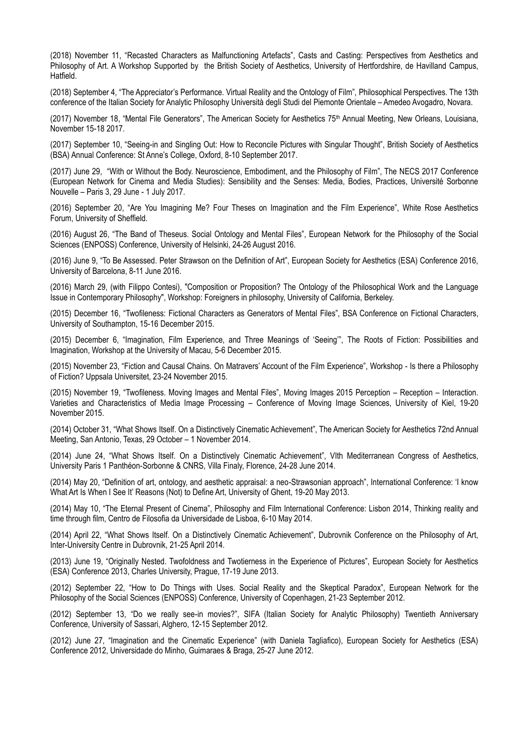(2018) November 11, "Recasted Characters as Malfunctioning Artefacts", Casts and Casting: Perspectives from Aesthetics and Philosophy of Art. A Workshop Supported by the British Society of Aesthetics, University of Hertfordshire, de Havilland Campus, Hatfield.

(2018) September 4, "The Appreciator's Performance. Virtual Reality and the Ontology of Film", Philosophical Perspectives. The 13th conference of the Italian Society for Analytic Philosophy Università degli Studi del Piemonte Orientale – Amedeo Avogadro, Novara.

(2017) November 18, "Mental File Generators", The American Society for Aesthetics 75<sup>th</sup> Annual Meeting, New Orleans, Louisiana, November 15-18 2017.

(2017) September 10, "Seeing-in and Singling Out: How to Reconcile Pictures with Singular Thought", British Society of Aesthetics (BSA) Annual Conference: St Anne's College, Oxford, 8-10 September 2017.

(2017) June 29, "With or Without the Body. Neuroscience, Embodiment, and the Philosophy of Film", The NECS 2017 Conference (European Network for Cinema and Media Studies): Sensibility and the Senses: Media, Bodies, Practices, Université Sorbonne Nouvelle – Paris 3, 29 June - 1 July 2017.

(2016) September 20, "Are You Imagining Me? Four Theses on Imagination and the Film Experience", White Rose Aesthetics Forum, University of Sheffield.

(2016) August 26, "The Band of Theseus. Social Ontology and Mental Files", European Network for the Philosophy of the Social Sciences (ENPOSS) Conference, University of Helsinki, 24-26 August 2016.

(2016) June 9, "To Be Assessed. Peter Strawson on the Definition of Art", European Society for Aesthetics (ESA) Conference 2016, University of Barcelona, 8-11 June 2016.

(2016) March 29, (with Filippo Contesi), "Composition or Proposition? The Ontology of the Philosophical Work and the Language Issue in Contemporary Philosophy", Workshop: Foreigners in philosophy, University of California, Berkeley.

(2015) December 16, "Twofileness: Fictional Characters as Generators of Mental Files", BSA Conference on Fictional Characters, University of Southampton, 15-16 December 2015.

(2015) December 6, "Imagination, Film Experience, and Three Meanings of 'Seeing'", The Roots of Fiction: Possibilities and Imagination, Workshop at the University of Macau, 5-6 December 2015.

(2015) November 23, "Fiction and Causal Chains. On Matravers' Account of the Film Experience", Workshop - Is there a Philosophy of Fiction? Uppsala Universitet, 23-24 November 2015.

(2015) November 19, "Twofileness. Moving Images and Mental Files", Moving Images 2015 Perception – Reception – Interaction. Varieties and Characteristics of Media Image Processing – Conference of Moving Image Sciences, University of Kiel, 19-20 November 2015.

(2014) October 31, "What Shows Itself. On a Distinctively Cinematic Achievement", The American Society for Aesthetics 72nd Annual Meeting, San Antonio, Texas, 29 October – 1 November 2014.

(2014) June 24, "What Shows Itself. On a Distinctively Cinematic Achievement", VIth Mediterranean Congress of Aesthetics, University Paris 1 Panthéon-Sorbonne & CNRS, Villa Finaly, Florence, 24-28 June 2014.

(2014) May 20, "Definition of art, ontology, and aesthetic appraisal: a neo-Strawsonian approach", International Conference: 'I know What Art Is When I See It' Reasons (Not) to Define Art, University of Ghent, 19-20 May 2013.

(2014) May 10, "The Eternal Present of Cinema", Philosophy and Film International Conference: Lisbon 2014, Thinking reality and time through film, Centro de Filosofia da Universidade de Lisboa, 6-10 May 2014.

(2014) April 22, "What Shows Itself. On a Distinctively Cinematic Achievement", Dubrovnik Conference on the Philosophy of Art, Inter-University Centre in Dubrovnik, 21-25 April 2014.

(2013) June 19, "Originally Nested. Twofoldness and Twotierness in the Experience of Pictures", European Society for Aesthetics (ESA) Conference 2013, Charles University, Prague, 17-19 June 2013.

(2012) September 22, "How to Do Things with Uses. Social Reality and the Skeptical Paradox", European Network for the Philosophy of the Social Sciences (ENPOSS) Conference, University of Copenhagen, 21-23 September 2012.

(2012) September 13, "Do we really see-in movies?", SIFA (Italian Society for Analytic Philosophy) Twentieth Anniversary Conference, University of Sassari, Alghero, 12-15 September 2012.

(2012) June 27, "Imagination and the Cinematic Experience" (with Daniela Tagliafico), European Society for Aesthetics (ESA) Conference 2012, Universidade do Minho, Guimaraes & Braga, 25-27 June 2012.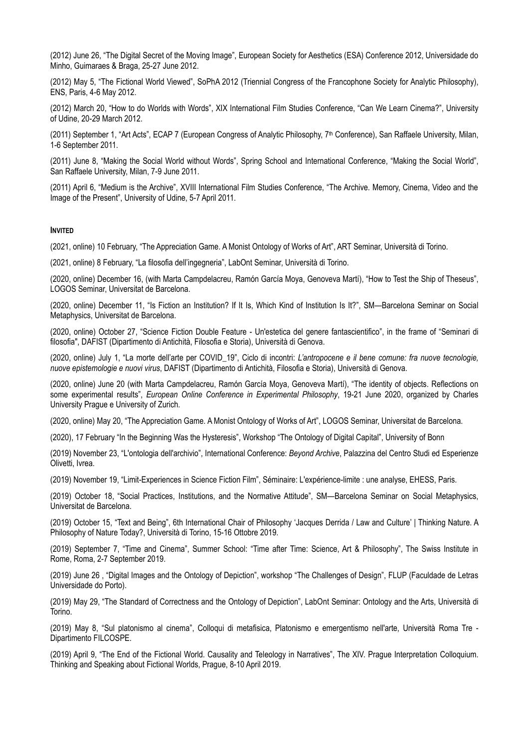(2012) June 26, "The Digital Secret of the Moving Image", European Society for Aesthetics (ESA) Conference 2012, Universidade do Minho, Guimaraes & Braga, 25-27 June 2012.

(2012) May 5, "The Fictional World Viewed", SoPhA 2012 (Triennial Congress of the Francophone Society for Analytic Philosophy), ENS, Paris, 4-6 May 2012.

(2012) March 20, "How to do Worlds with Words", XIX International Film Studies Conference, "Can We Learn Cinema?", University of Udine, 20-29 March 2012.

(2011) September 1, "Art Acts", ECAP 7 (European Congress of Analytic Philosophy, 7th Conference), San Raffaele University, Milan, 1-6 September 2011.

(2011) June 8, "Making the Social World without Words", Spring School and International Conference, "Making the Social World", San Raffaele University, Milan, 7-9 June 2011.

(2011) April 6, "Medium is the Archive", XVIII International Film Studies Conference, "The Archive. Memory, Cinema, Video and the Image of the Present", University of Udine, 5-7 April 2011.

## **INVITED**

(2021, online) 10 February, "The Appreciation Game. A Monist Ontology of Works of Art", ART Seminar, Università di Torino.

(2021, online) 8 February, "La filosofia dell'ingegneria", LabOnt Seminar, Università di Torino.

(2020, online) December 16, (with Marta Campdelacreu, Ramón García Moya, Genoveva Martí), "How to Test the Ship of Theseus", LOGOS Seminar, Universitat de Barcelona.

(2020, online) December 11, "Is Fiction an Institution? If It Is, Which Kind of Institution Is It?", SM—Barcelona Seminar on Social Metaphysics, Universitat de Barcelona.

(2020, online) October 27, "Science Fiction Double Feature - Un'estetica del genere fantascientifico", in the frame of "Seminari di filosofia", DAFIST (Dipartimento di Antichità, Filosofia e Storia), Università di Genova.

(2020, online) July 1, "La morte dell'arte per COVID\_19", Ciclo di incontri: *L'antropocene e il bene comune: fra nuove tecnologie, nuove epistemologie e nuovi virus*, DAFIST (Dipartimento di Antichità, Filosofia e Storia), Università di Genova.

(2020, online) June 20 (with Marta Campdelacreu, Ramón García Moya, Genoveva Martí), "The identity of objects. Reflections on some experimental results", *European Online Conference in Experimental Philosophy*, 19-21 June 2020, organized by Charles University Prague e University of Zurich.

(2020, online) May 20, "The Appreciation Game. A Monist Ontology of Works of Art", LOGOS Seminar, Universitat de Barcelona.

(2020), 17 February "In the Beginning Was the Hysteresis", Workshop "The Ontology of Digital Capital", University of Bonn

(2019) November 23, "L'ontologia dell'archivio", International Conference: *Beyond Archive*, Palazzina del Centro Studi ed Esperienze Olivetti, Ivrea.

(2019) November 19, "Limit-Experiences in Science Fiction Film", Séminaire: L'expérience-limite : une analyse, EHESS, Paris.

(2019) October 18, "Social Practices, Institutions, and the Normative Attitude", SM—Barcelona Seminar on Social Metaphysics, Universitat de Barcelona.

(2019) October 15, "Text and Being", 6th International Chair of Philosophy 'Jacques Derrida / Law and Culture' | Thinking Nature. A Philosophy of Nature Today?, Università di Torino, 15-16 Ottobre 2019.

(2019) September 7, "Time and Cinema", Summer School: "Time after Time: Science, Art & Philosophy", The Swiss Institute in Rome, Roma, 2-7 September 2019.

(2019) June 26 , "Digital Images and the Ontology of Depiction", workshop "The Challenges of Design", FLUP (Faculdade de Letras Universidade do Porto).

(2019) May 29, "The Standard of Correctness and the Ontology of Depiction", LabOnt Seminar: Ontology and the Arts, Università di Torino.

(2019) May 8, "Sul platonismo al cinema", Colloqui di metafisica, Platonismo e emergentismo nell'arte, Università Roma Tre - Dipartimento FILCOSPE.

(2019) April 9, "The End of the Fictional World. Causality and Teleology in Narratives", The XIV. Prague Interpretation Colloquium. Thinking and Speaking about Fictional Worlds, Prague, 8-10 April 2019.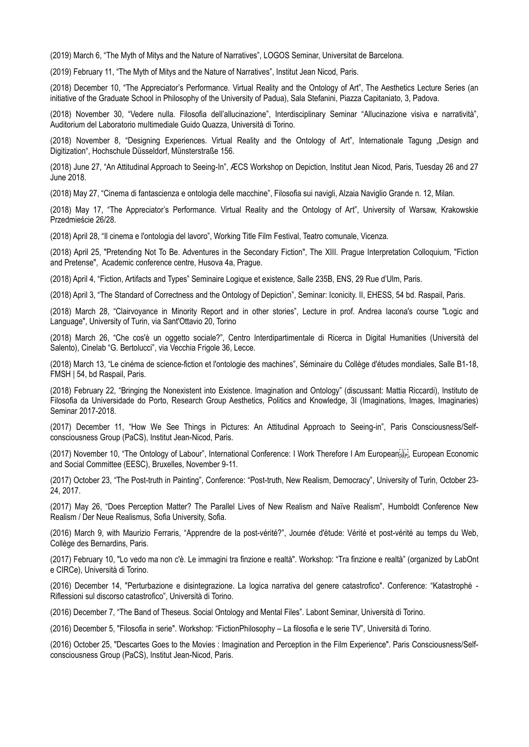(2019) March 6, "The Myth of Mitys and the Nature of Narratives", LOGOS Seminar, Universitat de Barcelona.

(2019) February 11, "The Myth of Mitys and the Nature of Narratives", Institut Jean Nicod, Paris.

(2018) December 10, "The Appreciator's Performance. Virtual Reality and the Ontology of Art", The Aesthetics Lecture Series (an initiative of the Graduate School in Philosophy of the University of Padua), Sala Stefanini, Piazza Capitaniato, 3, Padova.

(2018) November 30, "Vedere nulla. Filosofia dell'allucinazione", Interdisciplinary Seminar "Allucinazione visiva e narratività", Auditorium del Laboratorio multimediale Guido Quazza, Università di Torino.

(2018) November 8, "Designing Experiences. Virtual Reality and the Ontology of Art", Internationale Tagung "Design and Digitization", Hochschule Düsseldorf, Münsterstraße 156.

(2018) June 27, "An Attitudinal Approach to Seeing-In", ÆCS Workshop on Depiction, Institut Jean Nicod, Paris, Tuesday 26 and 27 June 2018.

(2018) May 27, "Cinema di fantascienza e ontologia delle macchine", Filosofia sui navigli, Alzaia Naviglio Grande n. 12, Milan.

(2018) May 17, "The Appreciator's Performance. Virtual Reality and the Ontology of Art", University of Warsaw, Krakowskie Przedmieście 26/28.

(2018) April 28, "Il cinema e l'ontologia del lavoro", Working Title Film Festival, Teatro comunale, Vicenza.

(2018) April 25, "Pretending Not To Be. Adventures in the Secondary Fiction", The XIII. Prague Interpretation Colloquium, "Fiction and Pretense", Academic conference centre, Husova 4a, Prague.

(2018) April 4, "Fiction, Artifacts and Types" Seminaire Logique et existence, Salle 235B, ENS, 29 Rue d'Ulm, Paris.

(2018) April 3, "The Standard of Correctness and the Ontology of Depiction", Seminar: Iconicity. II, EHESS, 54 bd. Raspail, Paris.

(2018) March 28, "Clairvoyance in Minority Report and in other stories", Lecture in prof. Andrea Iacona's course "Logic and Language", University of Turin, via Sant'Ottavio 20, Torino

(2018) March 26, "Che cos'è un oggetto sociale?", Centro Interdipartimentale di Ricerca in Digital Humanities (Università del Salento), Cinelab "G. Bertolucci", via Vecchia Frigole 36, Lecce.

(2018) March 13, "Le cinéma de science-fiction et l'ontologie des machines", Séminaire du Collège d'études mondiales, Salle B1-18, FMSH | 54, bd Raspail, Paris.

(2018) February 22, "Bringing the Nonexistent into Existence. Imagination and Ontology" (discussant: Mattia Riccardi), Instituto de Filosofia da Universidade do Porto, Research Group Aesthetics, Politics and Knowledge, 3I (Imaginations, Images, Imaginaries) Seminar 2017-2018.

(2017) December 11, "How We See Things in Pictures: An Attitudinal Approach to Seeing-in", Paris Consciousness/Selfconsciousness Group (PaCS), Institut Jean-Nicod, Paris.

(2017) November 10, "The Ontology of Labour", International Conference: I Work Therefore I Am European , European Economic and Social Committee (EESC), Bruxelles, November 9-11.

(2017) October 23, "The Post-truth in Painting", Conference: "Post-truth, New Realism, Democracy", University of Turin, October 23- 24, 2017.

(2017) May 26, "Does Perception Matter? The Parallel Lives of New Realism and Naïve Realism", Humboldt Conference New Realism / Der Neue Realismus, Sofia University, Sofia.

(2016) March 9, with Maurizio Ferraris, "Apprendre de la post-vérité?", Journée d'étude: Vérité et post-vérité au temps du Web, Collège des Bernardins, Paris.

(2017) February 10, "Lo vedo ma non c'è. Le immagini tra finzione e realtà". Workshop: "Tra finzione e realtà" (organized by LabOnt e CIRCe), Università di Torino.

(2016) December 14, "Perturbazione e disintegrazione. La logica narrativa del genere catastrofico". Conference: "Katastrophé - Riflessioni sul discorso catastrofico", Università di Torino.

(2016) December 7, "The Band of Theseus. Social Ontology and Mental Files". Labont Seminar, Università di Torino.

(2016) December 5, "Filosofia in serie". Workshop: "FictionPhilosophy – La filosofia e le serie TV", Università di Torino.

(2016) October 25, "Descartes Goes to the Movies : Imagination and Perception in the Film Experience". Paris Consciousness/Selfconsciousness Group (PaCS), Institut Jean-Nicod, Paris.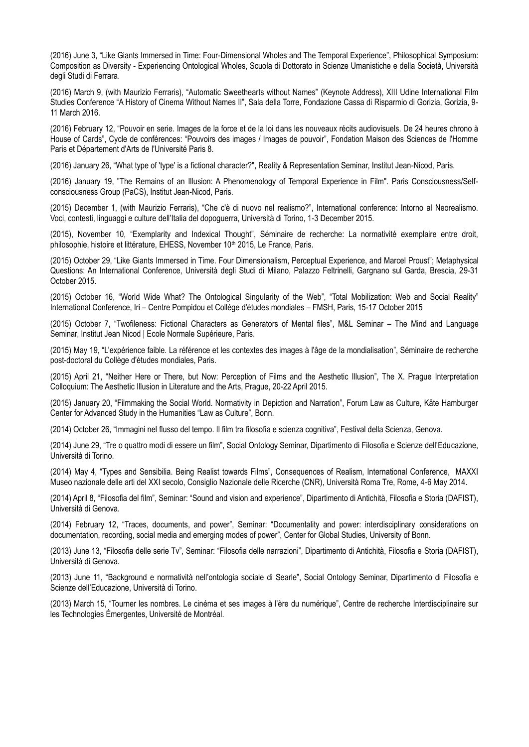(2016) June 3, "Like Giants Immersed in Time: Four-Dimensional Wholes and The Temporal Experience", Philosophical Symposium: Composition as Diversity - Experiencing Ontological Wholes, Scuola di Dottorato in Scienze Umanistiche e della Società, Università degli Studi di Ferrara.

(2016) March 9, (with Maurizio Ferraris), "Automatic Sweethearts without Names" (Keynote Address), XIII Udine International Film Studies Conference "A History of Cinema Without Names II", Sala della Torre, Fondazione Cassa di Risparmio di Gorizia, Gorizia, 9- 11 March 2016.

(2016) February 12, "Pouvoir en serie. Images de la force et de la loi dans les nouveaux récits audiovisuels. De 24 heures chrono à House of Cards", Cycle de conférences: "Pouvoirs des images / Images de pouvoir", Fondation Maison des Sciences de l'Homme Paris et Département d'Arts de l'Université Paris 8.

(2016) January 26, "What type of 'type' is a fictional character?", Reality & Representation Seminar, Institut Jean-Nicod, Paris.

(2016) January 19, "The Remains of an Illusion: A Phenomenology of Temporal Experience in Film". Paris Consciousness/Selfconsciousness Group (PaCS), Institut Jean-Nicod, Paris.

(2015) December 1, (with Maurizio Ferraris), "Che c'è di nuovo nel realismo?", International conference: Intorno al Neorealismo. Voci, contesti, linguaggi e culture dell'Italia del dopoguerra, Università di Torino, 1-3 December 2015.

(2015), November 10, "Exemplarity and Indexical Thought", Séminaire de recherche: La normativité exemplaire entre droit, philosophie, histoire et littérature, EHESS, November 10<sup>th</sup> 2015, Le France, Paris.

(2015) October 29, "Like Giants Immersed in Time. Four Dimensionalism, Perceptual Experience, and Marcel Proust"; Metaphysical Questions: An International Conference, Università degli Studi di Milano, Palazzo Feltrinelli, Gargnano sul Garda, Brescia, 29-31 October 2015.

(2015) October 16, "World Wide What? The Ontological Singularity of the Web", "Total Mobilization: Web and Social Reality" International Conference, Iri – Centre Pompidou et Collège d'études mondiales – FMSH, Paris, 15-17 October 2015

(2015) October 7, "Twofileness: Fictional Characters as Generators of Mental files", M&L Seminar – The Mind and Language Seminar, Institut Jean Nicod | Ecole Normale Supérieure, Paris.

(2015) May 19, "L'expérience faible. La référence et les contextes des images à l'âge de la mondialisation", Séminaire de recherche post-doctoral du Collège d'études mondiales, Paris.

(2015) April 21, "Neither Here or There, but Now: Perception of Films and the Aesthetic Illusion", The X. Prague Interpretation Colloquium: The Aesthetic Illusion in Literature and the Arts, Prague, 20-22 April 2015.

(2015) January 20, "Filmmaking the Social World. Normativity in Depiction and Narration", Forum Law as Culture, Käte Hamburger Center for Advanced Study in the Humanities "Law as Culture", Bonn.

(2014) October 26, "Immagini nel flusso del tempo. Il film tra filosofia e scienza cognitiva", Festival della Scienza, Genova.

(2014) June 29, "Tre o quattro modi di essere un film", Social Ontology Seminar, Dipartimento di Filosofia e Scienze dell'Educazione, Università di Torino.

(2014) May 4, "Types and Sensibilia. Being Realist towards Films", Consequences of Realism, International Conference, MAXXI Museo nazionale delle arti del XXI secolo, Consiglio Nazionale delle Ricerche (CNR), Università Roma Tre, Rome, 4-6 May 2014.

(2014) April 8, "Filosofia del film", Seminar: "Sound and vision and experience", Dipartimento di Antichità, Filosofia e Storia (DAFIST), Università di Genova.

(2014) February 12, "Traces, documents, and power", Seminar: "Documentality and power: interdisciplinary considerations on documentation, recording, social media and emerging modes of power", Center for Global Studies, University of Bonn.

(2013) June 13, "Filosofia delle serie Tv", Seminar: "Filosofia delle narrazioni", Dipartimento di Antichità, Filosofia e Storia (DAFIST), Università di Genova.

(2013) June 11, "Background e normatività nell'ontologia sociale di Searle", Social Ontology Seminar, Dipartimento di Filosofia e Scienze dell'Educazione, Università di Torino.

(2013) March 15, "Tourner les nombres. Le cinéma et ses images à l'ère du numérique", Centre de recherche Interdisciplinaire sur les Technologies Émergentes, Université de Montréal.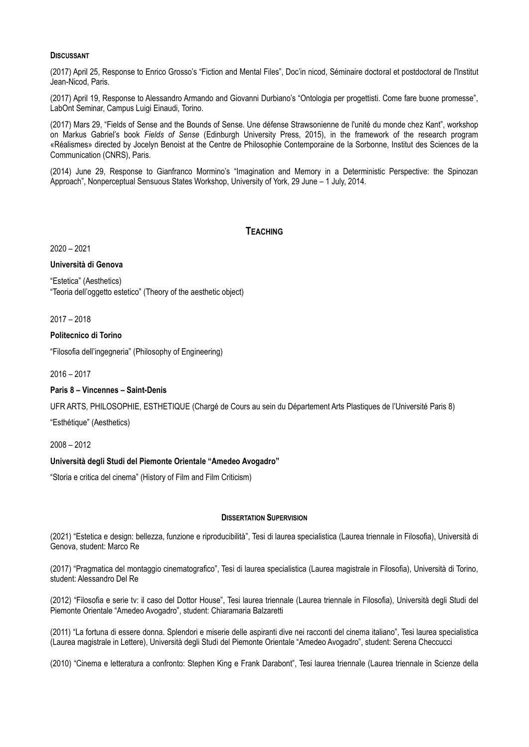## **DISCUSSANT**

(2017) April 25, Response to Enrico Grosso's "Fiction and Mental Files", Doc'in nicod, Séminaire doctoral et postdoctoral de l'Institut Jean-Nicod, Paris.

(2017) April 19, Response to Alessandro Armando and Giovanni Durbiano's "Ontologia per progettisti. Come fare buone promesse", LabOnt Seminar, Campus Luigi Einaudi, Torino.

(2017) Mars 29, "Fields of Sense and the Bounds of Sense. Une défense Strawsonienne de l'unité du monde chez Kant", workshop on Markus Gabriel's book *Fields of Sense* (Edinburgh University Press, 2015), in the framework of the research program «Réalismes» directed by Jocelyn Benoist at the Centre de Philosophie Contemporaine de la Sorbonne, Institut des Sciences de la Communication (CNRS), Paris.

(2014) June 29, Response to Gianfranco Mormino's "Imagination and Memory in a Deterministic Perspective: the Spinozan Approach", Nonperceptual Sensuous States Workshop, University of York, 29 June – 1 July, 2014.

## **TEACHING**

2020 – 2021

**Università di Genova**

"Estetica" (Aesthetics) "Teoria dell'oggetto estetico" (Theory of the aesthetic object)

2017 – 2018

#### **Politecnico di Torino**

"Filosofia dell'ingegneria" (Philosophy of Engineering)

2016 – 2017

## **Paris 8 – Vincennes – Saint-Denis**

UFR ARTS, PHILOSOPHIE, ESTHETIQUE (Chargé de Cours au sein du Département Arts Plastiques de l'Université Paris 8)

"Esthétique" (Aesthetics)

2008 – 2012

## **Università degli Studi del Piemonte Orientale "Amedeo Avogadro"**

"Storia e critica del cinema" (History of Film and Film Criticism)

#### **DISSERTATION SUPERVISION**

(2021) "Estetica e design: bellezza, funzione e riproducibilità", Tesi di laurea specialistica (Laurea triennale in Filosofia), Università di Genova, student: Marco Re

(2017) "Pragmatica del montaggio cinematografico", Tesi di laurea specialistica (Laurea magistrale in Filosofia), Università di Torino, student: Alessandro Del Re

(2012) "Filosofia e serie tv: il caso del Dottor House", Tesi laurea triennale (Laurea triennale in Filosofia), Università degli Studi del Piemonte Orientale "Amedeo Avogadro", student: Chiaramaria Balzaretti

(2011) "La fortuna di essere donna. Splendori e miserie delle aspiranti dive nei racconti del cinema italiano", Tesi laurea specialistica (Laurea magistrale in Lettere), Università degli Studi del Piemonte Orientale "Amedeo Avogadro", student: Serena Checcucci

(2010) "Cinema e letteratura a confronto: Stephen King e Frank Darabont", Tesi laurea triennale (Laurea triennale in Scienze della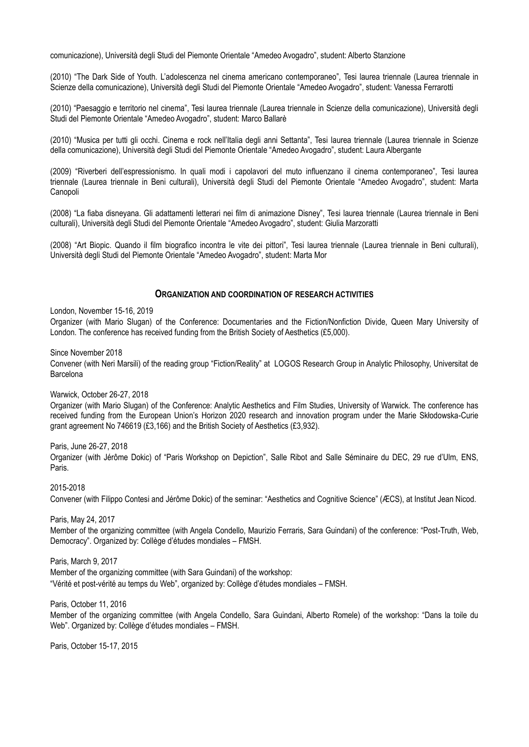comunicazione), Università degli Studi del Piemonte Orientale "Amedeo Avogadro", student: Alberto Stanzione

(2010) "The Dark Side of Youth. L'adolescenza nel cinema americano contemporaneo", Tesi laurea triennale (Laurea triennale in Scienze della comunicazione), Università degli Studi del Piemonte Orientale "Amedeo Avogadro", student: Vanessa Ferrarotti

(2010) "Paesaggio e territorio nel cinema", Tesi laurea triennale (Laurea triennale in Scienze della comunicazione), Università degli Studi del Piemonte Orientale "Amedeo Avogadro", student: Marco Ballarè

(2010) "Musica per tutti gli occhi. Cinema e rock nell'Italia degli anni Settanta", Tesi laurea triennale (Laurea triennale in Scienze della comunicazione), Università degli Studi del Piemonte Orientale "Amedeo Avogadro", student: Laura Albergante

(2009) "Riverberi dell'espressionismo. In quali modi i capolavori del muto influenzano il cinema contemporaneo", Tesi laurea triennale (Laurea triennale in Beni culturali), Università degli Studi del Piemonte Orientale "Amedeo Avogadro", student: Marta Canopoli

(2008) "La fiaba disneyana. Gli adattamenti letterari nei film di animazione Disney", Tesi laurea triennale (Laurea triennale in Beni culturali), Università degli Studi del Piemonte Orientale "Amedeo Avogadro", student: Giulia Marzoratti

(2008) "Art Biopic. Quando il film biografico incontra le vite dei pittori", Tesi laurea triennale (Laurea triennale in Beni culturali), Università degli Studi del Piemonte Orientale "Amedeo Avogadro", student: Marta Mor

### **ORGANIZATION AND COORDINATION OF RESEARCH ACTIVITIES**

London, November 15-16, 2019

Organizer (with Mario Slugan) of the Conference: Documentaries and the Fiction/Nonfiction Divide, Queen Mary University of London. The conference has received funding from the British Society of Aesthetics (£5,000).

Since November 2018

Convener (with Neri Marsili) of the reading group "Fiction/Reality" at LOGOS Research Group in Analytic Philosophy, Universitat de Barcelona

Warwick, October 26-27, 2018

Organizer (with Mario Slugan) of the Conference: Analytic Aesthetics and Film Studies, University of Warwick. The conference has received funding from the European Union's Horizon 2020 research and innovation program under the Marie Skłodowska-Curie grant agreement No 746619 (£3,166) and the British Society of Aesthetics (£3,932).

Paris, June 26-27, 2018

Organizer (with Jérôme Dokic) of "Paris Workshop on Depiction", Salle Ribot and Salle Séminaire du DEC, 29 rue d'Ulm, ENS, Paris.

2015-2018

Convener (with Filippo Contesi and Jérôme Dokic) of the seminar: "Aesthetics and Cognitive Science" (ÆCS), at Institut Jean Nicod.

Paris, May 24, 2017

Member of the organizing committee (with Angela Condello, Maurizio Ferraris, Sara Guindani) of the conference: "Post-Truth, Web, Democracy". Organized by: Collège d'études mondiales – FMSH.

Paris, March 9, 2017

Member of the organizing committee (with Sara Guindani) of the workshop: "Vérité et post-vérité au temps du Web", organized by: Collège d'études mondiales – FMSH.

Paris, October 11, 2016

Member of the organizing committee (with Angela Condello, Sara Guindani, Alberto Romele) of the workshop: "Dans la toile du Web". Organized by: Collège d'études mondiales – FMSH.

Paris, October 15-17, 2015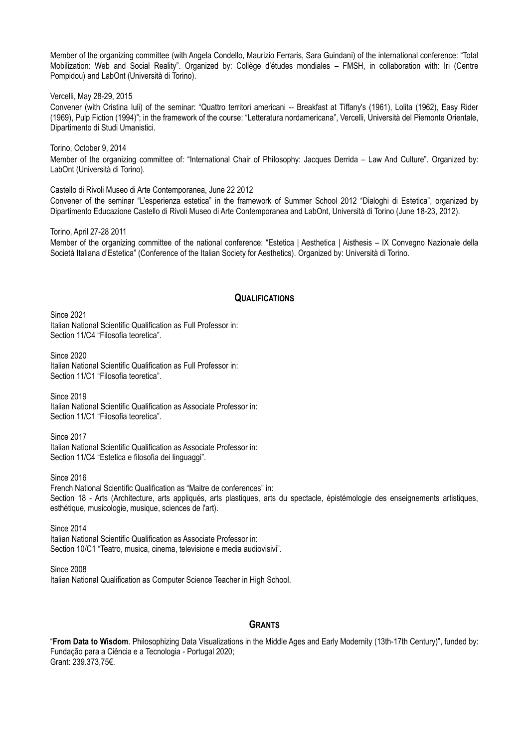Member of the organizing committee (with Angela Condello, Maurizio Ferraris, Sara Guindani) of the international conference: "Total Mobilization: Web and Social Reality". Organized by: Collège d'études mondiales – FMSH, in collaboration with: Iri (Centre Pompidou) and LabOnt (Università di Torino).

Vercelli, May 28-29, 2015

Convener (with Cristina Iuli) of the seminar: "Quattro territori americani -- Breakfast at Tiffany's (1961), Lolita (1962), Easy Rider (1969), Pulp Fiction (1994)"; in the framework of the course: "Letteratura nordamericana", Vercelli, Università del Piemonte Orientale, Dipartimento di Studi Umanistici.

Torino, October 9, 2014 Member of the organizing committee of: "International Chair of Philosophy: Jacques Derrida – Law And Culture". Organized by: LabOnt (Università di Torino).

Castello di Rivoli Museo di Arte Contemporanea, June 22 2012

Convener of the seminar "L'esperienza estetica" in the framework of Summer School 2012 "Dialoghi di Estetica", organized by Dipartimento Educazione Castello di Rivoli Museo di Arte Contemporanea and LabOnt, Università di Torino (June 18-23, 2012).

Torino, April 27-28 2011 Member of the organizing committee of the national conference: "Estetica | Aesthetica | Aisthesis – IX Convegno Nazionale della Società Italiana d'Estetica" (Conference of the Italian Society for Aesthetics). Organized by: Università di Torino.

## **QUALIFICATIONS**

Since 2021 Italian National Scientific Qualification as Full Professor in: Section 11/C4 "Filosofia teoretica".

Since 2020 Italian National Scientific Qualification as Full Professor in: Section 11/C1 "Filosofia teoretica".

Since 2019 Italian National Scientific Qualification as Associate Professor in: Section 11/C1 "Filosofia teoretica"

Since 2017 Italian National Scientific Qualification as Associate Professor in: Section 11/C4 "Estetica e filosofia dei linguaggi".

Since 2016 French National Scientific Qualification as "Maitre de conferences" in: Section 18 - Arts (Architecture, arts appliqués, arts plastiques, arts du spectacle, épistémologie des enseignements artistiques, esthétique, musicologie, musique, sciences de l'art).

Since 2014 Italian National Scientific Qualification as Associate Professor in: Section 10/C1 "Teatro, musica, cinema, televisione e media audiovisivi".

Since 2008 Italian National Qualification as Computer Science Teacher in High School.

## **GRANTS**

"**From Data to Wisdom**. Philosophizing Data Visualizations in the Middle Ages and Early Modernity (13th-17th Century)", funded by: Fundação para a Ciência e a Tecnologia - Portugal 2020; Grant: 239.373,75€.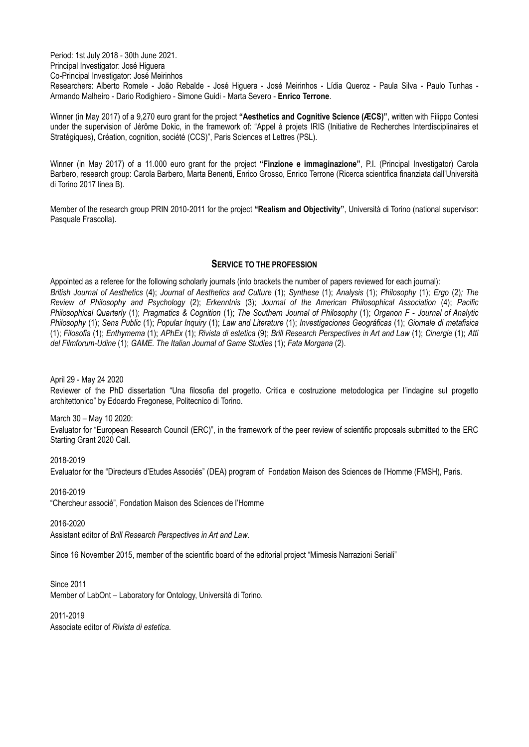Period: 1st July 2018 - 30th June 2021. Principal Investigator: José Higuera Co-Principal Investigator: José Meirinhos Researchers: Alberto Romele - João Rebalde - José Higuera - José Meirinhos - Lídia Queroz - Paula Silva - Paulo Tunhas - Armando Malheiro - Dario Rodighiero - Simone Guidi - Marta Severo - **Enrico Terrone**.

Winner (in May 2017) of a 9,270 euro grant for the project **"Aesthetics and Cognitive Science (ÆCS)"**, written with Filippo Contesi under the supervision of Jérôme Dokic, in the framework of: "Appel à projets IRIS (Initiative de Recherches Interdisciplinaires et Stratégiques), Création, cognition, société (CCS)", Paris Sciences et Lettres (PSL).

Winner (in May 2017) of a 11.000 euro grant for the project **"Finzione e immaginazione"**, P.I. (Principal Investigator) Carola Barbero, research group: Carola Barbero, Marta Benenti, Enrico Grosso, Enrico Terrone (Ricerca scientifica finanziata dall'Università di Torino 2017 linea B).

Member of the research group PRIN 2010-2011 for the project **"Realism and Objectivity"**, Università di Torino (national supervisor: Pasquale Frascolla).

# **SERVICE TO THE PROFESSION**

Appointed as a referee for the following scholarly journals (into brackets the number of papers reviewed for each journal): *British Journal of Aesthetics* (4); *Journal of Aesthetics and Culture* (1); *Synthese* (1); *Analysis* (1); *Philosophy* (1); *Ergo* (2)*; The Review of Philosophy and Psychology* (2); *Erkenntnis* (3); *Journal of the American Philosophical Association* (4); *Pacific Philosophical Quarterly* (1); *Pragmatics & Cognition* (1); *The Southern Journal of Philosophy* (1); *Organon F - Journal of Analytic Philosophy* (1); *Sens Public* (1); *Popular Inquiry* (1); *Law and Literature* (1); *Investigaciones Geográficas* (1); *Giornale di metafisica*  (1); *Filosofia* (1); *Enthymema* (1); *APhEx* (1); *Rivista di estetica* (9); *Brill Research Perspectives in Art and Law* (1); *Cinergie* (1); *Atti del Filmforum-Udine* (1); *GAME. The Italian Journal of Game Studies* (1); *Fata Morgana* (2).

April 29 - May 24 2020

Reviewer of the PhD dissertation "Una filosofia del progetto. Critica e costruzione metodologica per l'indagine sul progetto architettonico" by Edoardo Fregonese, Politecnico di Torino.

March 30 – May 10 2020: Evaluator for "European Research Council (ERC)", in the framework of the peer review of scientific proposals submitted to the ERC Starting Grant 2020 Call.

2018-2019 Evaluator for the "Directeurs d'Etudes Associés" (DEA) program of Fondation Maison des Sciences de l'Homme (FMSH), Paris.

2016-2019 "Chercheur associé", Fondation Maison des Sciences de l'Homme

2016-2020

Assistant editor of *Brill Research Perspectives in Art and Law*.

Since 16 November 2015, member of the scientific board of the editorial project "Mimesis Narrazioni Seriali"

Since 2011 Member of LabOnt – Laboratory for Ontology, Università di Torino.

2011-2019 Associate editor of *Rivista di estetica*.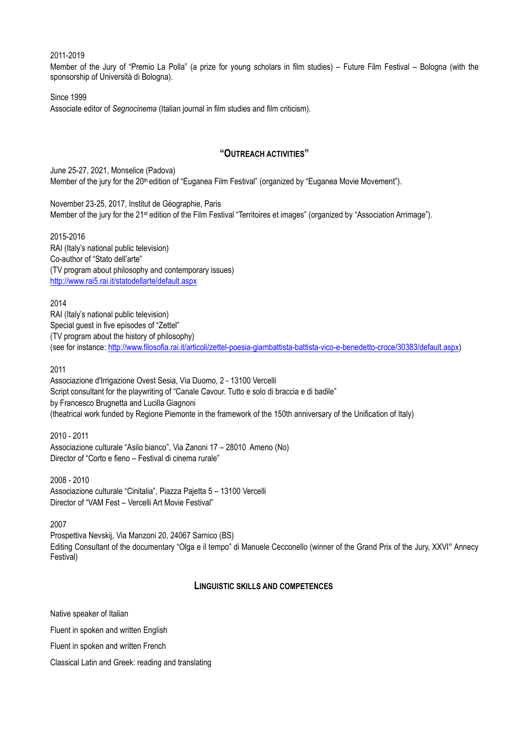## 2011-2019

Member of the Jury of "Premio La Polla" (a prize for young scholars in film studies) – Future Film Festival – Bologna (with the sponsorship of Università di Bologna).

## Since 1999

Associate editor of *Segnocinema* (Italian journal in film studies and film criticism).

# **"OUTREACH ACTIVITIES"**

June 25-27, 2021, Monselice (Padova) Member of the jury for the 20<sup>th</sup> edition of "Euganea Film Festival" (organized by "Euganea Movie Movement").

November 23-25, 2017, Institut de Géographie, Paris Member of the jury for the 21<sup>st</sup> edition of the Film Festival "Territoires et images" (organized by "Association Arrimage").

2015-2016 RAI (Italy's national public television) Co-author of "Stato dell'arte" (TV program about philosophy and contemporary issues) <http://www.rai5.rai.it/statodellarte/default.aspx>

2014 RAI (Italy's national public television) Special guest in five episodes of "Zettel" (TV program about the history of philosophy) (see for instance: [http://www.filosofia.rai.it/articoli/zettel-poesia-giambattista-battista-vico-e-benedetto-croce/30383/default.aspx\)](http://www.filosofia.rai.it/articoli/zettel-poesia-giambattista-battista-vico-e-benedetto-croce/30383/default.aspx)

2011

Associazione d'Irrigazione Ovest Sesia, Via Duomo, 2 - 13100 Vercelli Script consultant for the playwriting of "Canale Cavour. Tutto e solo di braccia e di badile" by Francesco Brugnetta and Lucilla Giagnoni (theatrical work funded by Regione Piemonte in the framework of the 150th anniversary of the Unification of Italy)

2010 - 2011

Associazione culturale "Asilo bianco", Via Zanoni 17 – 28010 Ameno (No) Director of "Corto e fieno – Festival di cinema rurale"

2008 - 2010 Associazione culturale "Cinitalia", Piazza Pajetta 5 – 13100 Vercelli Director of "VAM Fest – Vercelli Art Movie Festival"

2007

Prospettiva Nevskij, Via Manzoni 20, 24067 Sarnico (BS) Editing Consultant of the documentary "Olga e il tempo" di Manuele Cecconello (winner of the Grand Prix of the Jury, XXVI° Annecy Festival)

## **LINGUISTIC SKILLS AND COMPETENCES**

Native speaker of Italian

Fluent in spoken and written English

Fluent in spoken and written French

Classical Latin and Greek: reading and translating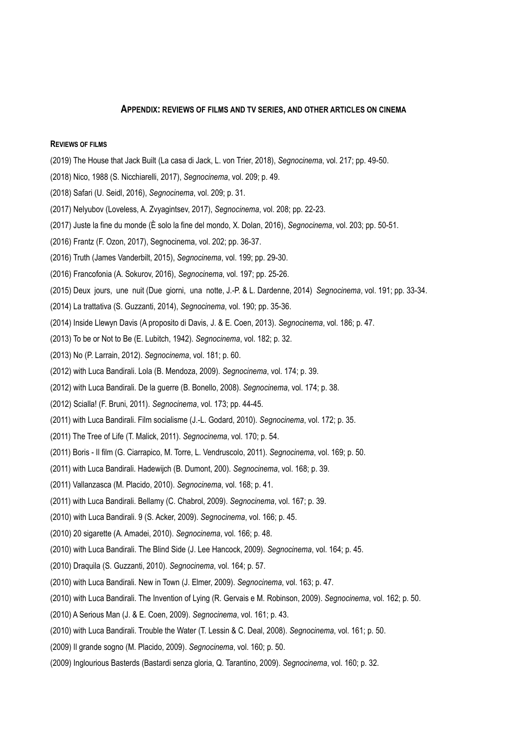#### **APPENDIX: REVIEWS OF FILMS AND TV SERIES, AND OTHER ARTICLES ON CINEMA**

## **REVIEWS OF FILMS**

- (2019) The House that Jack Built (La casa di Jack, L. von Trier, 2018), *Segnocinema*, vol. 217; pp. 49-50.
- (2018) Nico, 1988 (S. Nicchiarelli, 2017), *Segnocinema*, vol. 209; p. 49.
- (2018) Safari (U. Seidl, 2016), *Segnocinema*, vol. 209; p. 31.
- (2017) Nelyubov (Loveless, A. Zvyagintsev, 2017), *Segnocinema*, vol. 208; pp. 22-23.
- (2017) Juste la fine du monde (È solo la fine del mondo, X. Dolan, 2016), *Segnocinema*, vol. 203; pp. 50-51.
- (2016) Frantz (F. Ozon, 2017), Segnocinema, vol. 202; pp. 36-37.
- (2016) Truth (James Vanderbilt, 2015), *Segnocinema*, vol. 199; pp. 29-30.
- (2016) Francofonia (A. Sokurov, 2016), *Segnocinema*, vol. 197; pp. 25-26.
- (2015) Deux jours, une nuit (Due giorni, una notte, J.-P. & L. Dardenne, 2014) *Segnocinema*, vol. 191; pp. 33-34.
- (2014) La trattativa (S. Guzzanti, 2014), *Segnocinema*, vol. 190; pp. 35-36.
- (2014) Inside Llewyn Davis (A proposito di Davis, J. & E. Coen, 2013). *Segnocinema*, vol. 186; p. 47.
- (2013) To be or Not to Be (E. Lubitch, 1942). *Segnocinema*, vol. 182; p. 32.
- (2013) No (P. Larrain, 2012). *Segnocinema*, vol. 181; p. 60.
- (2012) with Luca Bandirali. Lola (B. Mendoza, 2009). *Segnocinema*, vol. 174; p. 39.
- (2012) with Luca Bandirali. De la guerre (B. Bonello, 2008). *Segnocinema*, vol. 174; p. 38.
- (2012) Scialla! (F. Bruni, 2011). *Segnocinema*, vol. 173; pp. 44-45.
- (2011) with Luca Bandirali. Film socialisme (J.-L. Godard, 2010). *Segnocinema*, vol. 172; p. 35.
- (2011) The Tree of Life (T. Malick, 2011). *Segnocinema*, vol. 170; p. 54.
- (2011) Boris Il film (G. Ciarrapico, M. Torre, L. Vendruscolo, 2011). *Segnocinema*, vol. 169; p. 50.
- (2011) with Luca Bandirali. Hadewijch (B. Dumont, 200). *Segnocinema*, vol. 168; p. 39.
- (2011) Vallanzasca (M. Placido, 2010). *Segnocinema*, vol. 168; p. 41.
- (2011) with Luca Bandirali. Bellamy (C. Chabrol, 2009). *Segnocinema*, vol. 167; p. 39.
- (2010) with Luca Bandirali. 9 (S. Acker, 2009). *Segnocinema*, vol. 166; p. 45.
- (2010) 20 sigarette (A. Amadei, 2010). *Segnocinema*, vol. 166; p. 48.
- (2010) with Luca Bandirali. The Blind Side (J. Lee Hancock, 2009). *Segnocinema*, vol. 164; p. 45.
- (2010) Draquila (S. Guzzanti, 2010). *Segnocinema*, vol. 164; p. 57.
- (2010) with Luca Bandirali. New in Town (J. Elmer, 2009). *Segnocinema*, vol. 163; p. 47.
- (2010) with Luca Bandirali. The Invention of Lying (R. Gervais e M. Robinson, 2009). *Segnocinema*, vol. 162; p. 50.
- (2010) A Serious Man (J. & E. Coen, 2009). *Segnocinema*, vol. 161; p. 43.
- (2010) with Luca Bandirali. Trouble the Water (T. Lessin & C. Deal, 2008). *Segnocinema*, vol. 161; p. 50.
- (2009) Il grande sogno (M. Placido, 2009). *Segnocinema*, vol. 160; p. 50.
- (2009) Inglourious Basterds (Bastardi senza gloria, Q. Tarantino, 2009). *Segnocinema*, vol. 160; p. 32.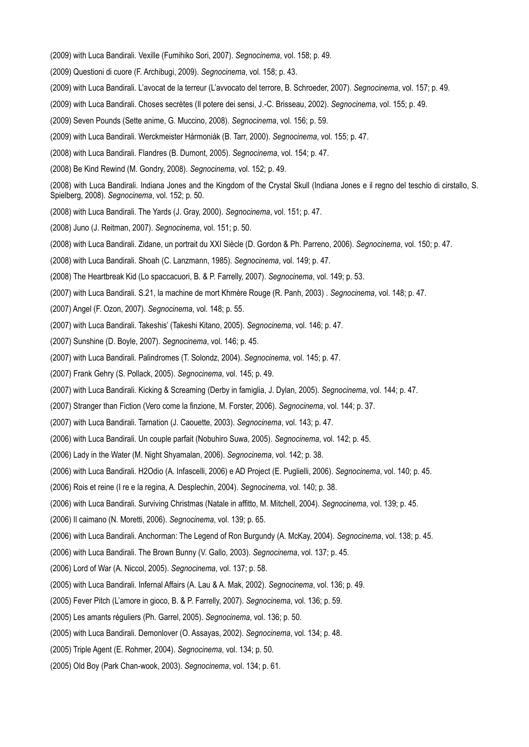- (2009) with Luca Bandirali. Vexille (Fumihiko Sori, 2007). *Segnocinema*, vol. 158; p. 49.
- (2009) Questioni di cuore (F. Archibugi, 2009). *Segnocinema*, vol. 158; p. 43.
- (2009) with Luca Bandirali. L'avocat de la terreur (L'avvocato del terrore, B. Schroeder, 2007). *Segnocinema*, vol. 157; p. 49.
- (2009) with Luca Bandirali. Choses secrètes (Il potere dei sensi, J.-C. Brisseau, 2002). *Segnocinema*, vol. 155; p. 49.
- (2009) Seven Pounds (Sette anime, G. Muccino, 2008). *Segnocinema*, vol. 156; p. 59.
- (2009) with Luca Bandirali. Werckmeister Hármoniák (B. Tarr, 2000). *Segnocinema*, vol. 155; p. 47.
- (2008) with Luca Bandirali. Flandres (B. Dumont, 2005). *Segnocinema*, vol. 154; p. 47.
- (2008) Be Kind Rewind (M. Gondry, 2008). *Segnocinema*, vol. 152; p. 49.
- (2008) with Luca Bandirali. Indiana Jones and the Kingdom of the Crystal Skull (Indiana Jones e il regno del teschio di cirstallo, S. Spielberg, 2008). *Segnocinema*, vol. 152; p. 50.
- (2008) with Luca Bandirali. The Yards (J. Gray, 2000). *Segnocinema*, vol. 151; p. 47.
- (2008) Juno (J. Reitman, 2007). *Segnocinema*, vol. 151; p. 50.
- (2008) with Luca Bandirali. Zidane, un portrait du XXI Siècle (D. Gordon & Ph. Parreno, 2006). *Segnocinema*, vol. 150; p. 47.
- (2008) with Luca Bandirali. Shoah (C. Lanzmann, 1985). *Segnocinema*, vol. 149; p. 47.
- (2008) The Heartbreak Kid (Lo spaccacuori, B. & P. Farrelly, 2007). *Segnocinema*, vol. 149; p. 53.
- (2007) with Luca Bandirali. S.21, la machine de mort Khmère Rouge (R. Panh, 2003) . *Segnocinema*, vol. 148; p. 47.
- (2007) Angel (F. Ozon, 2007). *Segnocinema*, vol. 148; p. 55.
- (2007) with Luca Bandirali. Takeshis' (Takeshi Kitano, 2005). *Segnocinema*, vol. 146; p. 47.
- (2007) Sunshine (D. Boyle, 2007). *Segnocinema*, vol. 146; p. 45.
- (2007) with Luca Bandirali. Palindromes (T. Solondz, 2004). *Segnocinema*, vol. 145; p. 47.
- (2007) Frank Gehry (S. Pollack, 2005). *Segnocinema*, vol. 145; p. 49.
- (2007) with Luca Bandirali. Kicking & Screaming (Derby in famiglia, J. Dylan, 2005). *Segnocinema*, vol. 144; p. 47.
- (2007) Stranger than Fiction (Vero come la finzione, M. Forster, 2006). *Segnocinema*, vol. 144; p. 37.
- (2007) with Luca Bandirali. Tarnation (J. Caouette, 2003). *Segnocinema*, vol. 143; p. 47.
- (2006) with Luca Bandirali. Un couple parfait (Nobuhiro Suwa, 2005). *Segnocinema*, vol. 142; p. 45.
- (2006) Lady in the Water (M. Night Shyamalan, 2006). *Segnocinema*, vol. 142; p. 38.
- (2006) with Luca Bandirali. H2Odio (A. Infascelli, 2006) e AD Project (E. Puglielli, 2006). *Segnocinema*, vol. 140; p. 45.
- (2006) Rois et reine (I re e la regina, A. Desplechin, 2004). *Segnocinema*, vol. 140; p. 38.
- (2006) with Luca Bandirali. Surviving Christmas (Natale in affitto, M. Mitchell, 2004). *Segnocinema*, vol. 139; p. 45.
- (2006) Il caimano (N. Moretti, 2006). *Segnocinema*, vol. 139; p. 65.
- (2006) with Luca Bandirali. Anchorman: The Legend of Ron Burgundy (A. McKay, 2004). *Segnocinema*, vol. 138; p. 45.
- (2006) with Luca Bandirali. The Brown Bunny (V. Gallo, 2003). *Segnocinema*, vol. 137; p. 45.
- (2006) Lord of War (A. Niccol, 2005). *Segnocinema*, vol. 137; p. 58.
- (2005) with Luca Bandirali. Infernal Affairs (A. Lau & A. Mak, 2002). *Segnocinema*, vol. 136; p. 49.
- (2005) Fever Pitch (L'amore in gioco, B. & P. Farrelly, 2007). *Segnocinema*, vol. 136; p. 59.
- (2005) Les amants réguliers (Ph. Garrel, 2005). *Segnocinema*, vol. 136; p. 50.
- (2005) with Luca Bandirali. Demonlover (O. Assayas, 2002). *Segnocinema*, vol. 134; p. 48.
- (2005) Triple Agent (E. Rohmer, 2004). *Segnocinema*, vol. 134; p. 50.
- (2005) Old Boy (Park Chan-wook, 2003). *Segnocinema*, vol. 134; p. 61.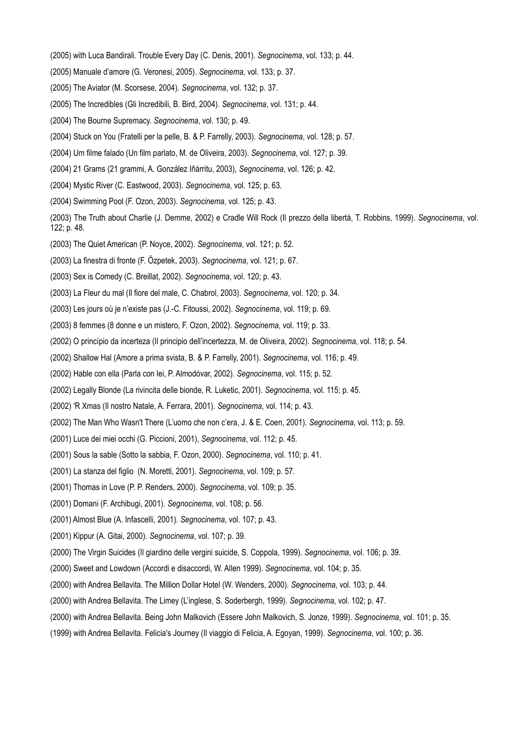- (2005) with Luca Bandirali. Trouble Every Day (C. Denis, 2001). *Segnocinema*, vol. 133; p. 44.
- (2005) Manuale d'amore (G. Veronesi, 2005). *Segnocinema*, vol. 133; p. 37.
- (2005) The Aviator (M. Scorsese, 2004). *Segnocinema*, vol. 132; p. 37.
- (2005) The Incredibles (Gli Incredibili, B. Bird, 2004). *Segnocinema*, vol. 131; p. 44.
- (2004) The Bourne Supremacy. *Segnocinema*, vol. 130; p. 49.
- (2004) Stuck on You (Fratelli per la pelle, B. & P. Farrelly, 2003). *Segnocinema*, vol. 128; p. 57.
- (2004) Um filme falado (Un film parlato, M. de Oliveira, 2003). *Segnocinema*, vol. 127; p. 39.
- (2004) 21 Grams (21 grammi, A. González Iñárritu, 2003), *Segnocinema*, vol. 126; p. 42.
- (2004) Mystic River (C. Eastwood, 2003). *Segnocinema*, vol. 125; p. 63.
- (2004) Swimming Pool (F. Ozon, 2003). *Segnocinema*, vol. 125; p. 43.
- (2003) The Truth about Charlie (J. Demme, 2002) e Cradle Will Rock (Il prezzo della libertà, T. Robbins, 1999). *Segnocinema*, vol. 122; p. 48.
- (2003) The Quiet American (P. Noyce, 2002). *Segnocinema*, vol. 121; p. 52.
- (2003) La finestra di fronte (F. Özpetek, 2003). *Segnocinema*, vol. 121; p. 67.
- (2003) Sex is Comedy (C. Breillat, 2002). *Segnocinema*, vol. 120; p. 43.
- (2003) La Fleur du mal (Il fiore del male, C. Chabrol, 2003). *Segnocinema*, vol. 120; p. 34.
- (2003) Les jours où je n'existe pas (J.-C. Fitoussi, 2002). *Segnocinema*, vol. 119; p. 69.
- (2003) 8 femmes (8 donne e un mistero, F. Ozon, 2002). *Segnocinema*, vol. 119; p. 33.
- (2002) O princípio da incerteza (Il principio dell'incertezza, M. de Oliveira, 2002). *Segnocinema*, vol. 118; p. 54.
- (2002) Shallow Hal (Amore a prima svista, B. & P. Farrelly, 2001). *Segnocinema*, vol. 116; p. 49.
- (2002) Hable con ella (Parla con lei, P. Almodóvar, 2002). *Segnocinema*, vol. 115; p. 52.
- (2002) Legally Blonde (La rivincita delle bionde, R. Luketic, 2001). *Segnocinema*, vol. 115; p. 45.
- (2002) 'R Xmas (Il nostro Natale, A. Ferrara, 2001). *Segnocinema*, vol. 114; p. 43.
- (2002) The Man Who Wasn't There (L'uomo che non c'era, J. & E. Coen, 2001). *Segnocinema*, vol. 113; p. 59.
- (2001) Luce dei miei occhi (G. Piccioni, 2001), *Segnocinema*, vol. 112; p. 45.
- (2001) Sous la sable (Sotto la sabbia, F. Ozon, 2000). *Segnocinema*, vol. 110; p. 41.
- (2001) La stanza del figlio (N. Moretti, 2001). *Segnocinema*, vol. 109; p. 57.
- (2001) Thomas in Love (P. P. Renders, 2000). *Segnocinema*, vol. 109; p. 35.
- (2001) Domani (F. Archibugi, 2001). *Segnocinema*, vol. 108; p. 56.
- (2001) Almost Blue (A. Infascelli, 2001). *Segnocinema*, vol. 107; p. 43.
- (2001) Kippur (A. Gitai, 2000). *Segnocinema*, vol. 107; p. 39.
- (2000) The Virgin Suicides (Il giardino delle vergini suicide, S. Coppola, 1999). *Segnocinema*, vol. 106; p. 39.
- (2000) Sweet and Lowdown (Accordi e disaccordi, W. Allen 1999). *Segnocinema*, vol. 104; p. 35.
- (2000) with Andrea Bellavita. The Million Dollar Hotel (W. Wenders, 2000). *Segnocinema*, vol. 103; p. 44.
- (2000) with Andrea Bellavita. The Limey (L'inglese, S. Soderbergh, 1999). *Segnocinema*, vol. 102; p. 47.
- (2000) with Andrea Bellavita. Being John Malkovich (Essere John Malkovich, S. Jonze, 1999). *Segnocinema*, vol. 101; p. 35.
- (1999) with Andrea Bellavita. Felicia's Journey (Il viaggio di Felicia, A. Egoyan, 1999). *Segnocinema*, vol. 100; p. 36.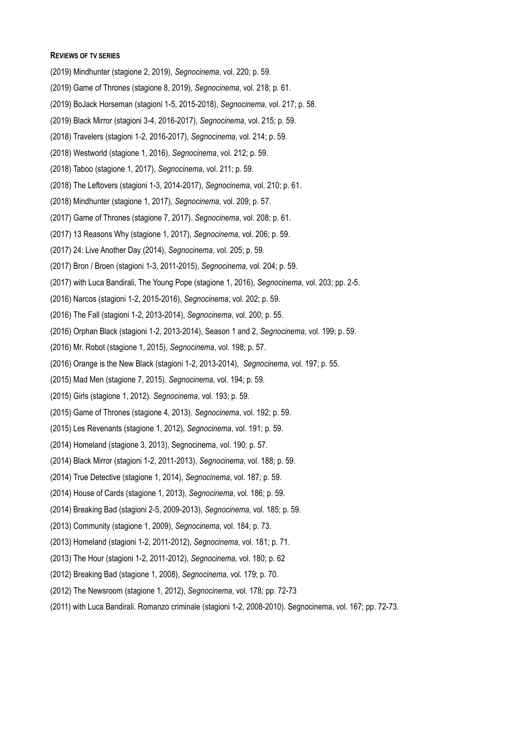#### **REVIEWS OF TV SERIES**

- (2019) Mindhunter (stagione 2, 2019), *Segnocinema*, vol. 220; p. 59.
- (2019) Game of Thrones (stagione 8, 2019), *Segnocinema*, vol. 218; p. 61.
- (2019) BoJack Horseman (stagioni 1-5, 2015-2018), *Segnocinema*, vol. 217; p. 58.
- (2019) Black Mirror (stagioni 3-4, 2016-2017), *Segnocinema*, vol. 215; p. 59.
- (2018) Travelers (stagioni 1-2, 2016-2017), *Segnocinema*, vol. 214; p. 59.
- (2018) Westworld (stagione 1, 2016), *Segnocinema*, vol. 212; p. 59.
- (2018) Taboo (stagione 1, 2017), *Segnocinema*, vol. 211; p. 59.
- (2018) The Leftovers (stagioni 1-3, 2014-2017), *Segnocinema*, vol. 210; p. 61.
- (2018) Mindhunter (stagione 1, 2017), *Segnocinema*, vol. 209; p. 57.
- (2017) Game of Thrones (stagione 7, 2017). *Segnocinema*, vol. 208; p. 61.
- (2017) 13 Reasons Why (stagione 1, 2017), *Segnocinema*, vol. 206; p. 59.
- (2017) 24: Live Another Day (2014), *Segnocinema*, vol. 205; p. 59.
- (2017) Bron / Broen (stagioni 1-3, 2011-2015), *Segnocinema*, vol. 204; p. 59.
- (2017) with Luca Bandirali, The Young Pope (stagione 1, 2016), *Segnocinema*, vol. 203; pp. 2-5.
- (2016) Narcos (stagioni 1-2, 2015-2016), *Segnocinema*, vol. 202; p. 59.
- (2016) The Fall (stagioni 1-2, 2013-2014), *Segnocinema*, vol. 200; p. 55.
- (2016) Orphan Black (stagioni 1-2, 2013-2014), Season 1 and 2, *Segnocinema*, vol. 199; p. 59.
- (2016) Mr. Robot (stagione 1, 2015), *Segnocinema*, vol. 198; p. 57.
- (2016) Orange is the New Black (stagioni 1-2, 2013-2014), *Segnocinema*, vol. 197; p. 55.
- (2015) Mad Men (stagione 7, 2015). *Segnocinema*, vol. 194; p. 59.
- (2015) Girls (stagione 1, 2012). *Segnocinema*, vol. 193; p. 59.
- (2015) Game of Thrones (stagione 4, 2013). *Segnocinema*, vol. 192; p. 59.
- (2015) Les Revenants (stagione 1, 2012), *Segnocinema*, vol. 191; p. 59.
- (2014) Homeland (stagione 3, 2013), Segnocinema, vol. 190; p. 57.
- (2014) Black Mirror (stagioni 1-2, 2011-2013), *Segnocinema*, vol. 188; p. 59.
- (2014) True Detective (stagione 1, 2014), *Segnocinema*, vol. 187; p. 59.
- (2014) House of Cards (stagione 1, 2013), *Segnocinema*, vol. 186; p. 59.
- (2014) Breaking Bad (stagioni 2-5, 2009-2013), *Segnocinema*, vol. 185; p. 59.
- (2013) Community (stagione 1, 2009), *Segnocinema*, vol. 184; p. 73.
- (2013) Homeland (stagioni 1-2, 2011-2012), *Segnocinema*, vol. 181; p. 71.
- (2013) The Hour (stagioni 1-2, 2011-2012), *Segnocinema*, vol. 180; p. 62
- (2012) Breaking Bad (stagione 1, 2008), *Segnocinema*, vol. 179; p. 70.
- (2012) The Newsroom (stagione 1, 2012), *Segnocinema*, vol. 178; pp. 72-73
- (2011) with Luca Bandirali. Romanzo criminale (stagioni 1-2, 2008-2010). Segnocinema, vol. 167; pp. 72-73.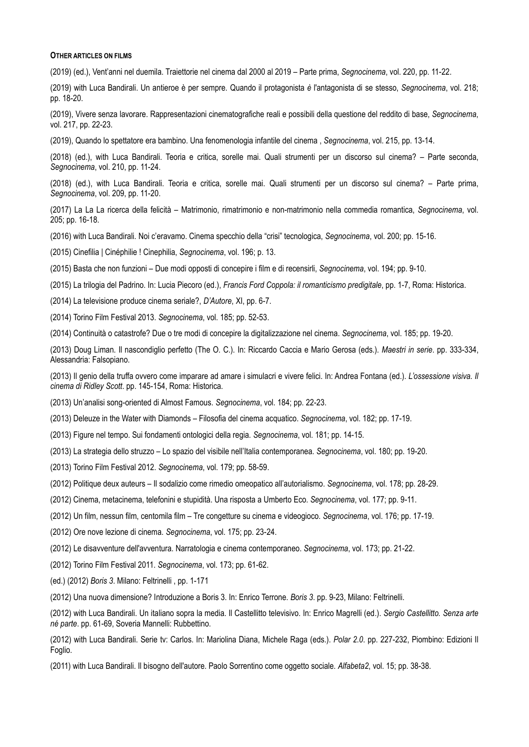#### **OTHER ARTICLES ON FILMS**

(2019) (ed.), Vent'anni nel duemila. Traiettorie nel cinema dal 2000 al 2019 – Parte prima, *Segnocinema*, vol. 220, pp. 11-22.

(2019) with Luca Bandirali. Un antieroe è per sempre. Quando il protagonista *è* l'antagonista di se stesso, *Segnocinema*, vol. 218; pp. 18-20.

(2019), Vivere senza lavorare. Rappresentazioni cinematografiche reali e possibili della questione del reddito di base, *Segnocinema*, vol. 217, pp. 22-23.

(2019), Quando lo spettatore era bambino. Una fenomenologia infantile del cinema , *Segnocinema*, vol. 215, pp. 13-14.

(2018) (ed.), with Luca Bandirali. Teoria e critica, sorelle mai. Quali strumenti per un discorso sul cinema? – Parte seconda, *Segnocinema*, vol. 210, pp. 11-24.

(2018) (ed.), with Luca Bandirali. Teoria e critica, sorelle mai. Quali strumenti per un discorso sul cinema? – Parte prima, *Segnocinema*, vol. 209, pp. 11-20.

(2017) La La La ricerca della felicità – Matrimonio, rimatrimonio e non-matrimonio nella commedia romantica, *Segnocinema*, vol. 205; pp. 16-18.

(2016) with Luca Bandirali. Noi c'eravamo. Cinema specchio della "crisi" tecnologica, *Segnocinema*, vol. 200; pp. 15-16.

(2015) Cinefilia | Cinéphilie ! Cinephilia, *Segnocinema*, vol. 196; p. 13.

(2015) Basta che non funzioni – Due modi opposti di concepire i film e di recensirli, *Segnocinema*, vol. 194; pp. 9-10.

(2015) La trilogia del Padrino. In: Lucia Piecoro (ed.), *Francis Ford Coppola: il romanticismo predigitale*, pp. 1-7, Roma: Historica.

(2014) La televisione produce cinema seriale?, *D'Autore*, XI, pp. 6-7.

(2014) Torino Film Festival 2013. *Segnocinema*, vol. 185; pp. 52-53.

(2014) Continuità o catastrofe? Due o tre modi di concepire la digitalizzazione nel cinema. *Segnocinema*, vol. 185; pp. 19-20.

(2013) Doug Liman. Il nascondiglio perfetto (The O. C.). In: Riccardo Caccia e Mario Gerosa (eds.). *Maestri in serie*. pp. 333-334, Alessandria: Falsopiano.

(2013) Il genio della truffa ovvero come imparare ad amare i simulacri e vivere felici. In: Andrea Fontana (ed.). *L'ossessione visiva. Il cinema di Ridley Scott*. pp. 145-154, Roma: Historica.

(2013) Un'analisi song-oriented di Almost Famous. *Segnocinema*, vol. 184; pp. 22-23.

(2013) Deleuze in the Water with Diamonds – Filosofia del cinema acquatico. *Segnocinema*, vol. 182; pp. 17-19.

(2013) Figure nel tempo. Sui fondamenti ontologici della regia. *Segnocinema*, vol. 181; pp. 14-15.

(2013) La strategia dello struzzo – Lo spazio del visibile nell'Italia contemporanea. *Segnocinema*, vol. 180; pp. 19-20.

(2013) Torino Film Festival 2012. *Segnocinema*, vol. 179; pp. 58-59.

(2012) Politique deux auteurs – Il sodalizio come rimedio omeopatico all'autorialismo. *Segnocinema*, vol. 178; pp. 28-29.

(2012) Cinema, metacinema, telefonini e stupidità. Una risposta a Umberto Eco. *Segnocinema*, vol. 177; pp. 9-11.

(2012) Un film, nessun film, centomila film – Tre congetture su cinema e videogioco. *Segnocinema*, vol. 176; pp. 17-19.

(2012) Ore nove lezione di cinema. *Segnocinema*, vol. 175; pp. 23-24.

(2012) Le disavventure dell'avventura. Narratologia e cinema contemporaneo. *Segnocinema*, vol. 173; pp. 21-22.

(2012) Torino Film Festival 2011. *Segnocinema*, vol. 173; pp. 61-62.

(ed.) (2012) *Boris 3*. Milano: Feltrinelli , pp. 1-171

(2012) Una nuova dimensione? Introduzione a Boris 3. In: Enrico Terrone. *Boris 3*. pp. 9-23, Milano: Feltrinelli.

(2012) with Luca Bandirali. Un italiano sopra la media. Il Castellitto televisivo. In: Enrico Magrelli (ed.). *Sergio Castellitto. Senza arte né parte*. pp. 61-69, Soveria Mannelli: Rubbettino.

(2012) with Luca Bandirali. Serie tv: Carlos. In: Mariolina Diana, Michele Raga (eds.). *Polar 2.0*. pp. 227-232, Piombino: Edizioni Il Foglio.

(2011) with Luca Bandirali. Il bisogno dell'autore. Paolo Sorrentino come oggetto sociale. *Alfabeta2*, vol. 15; pp. 38-38.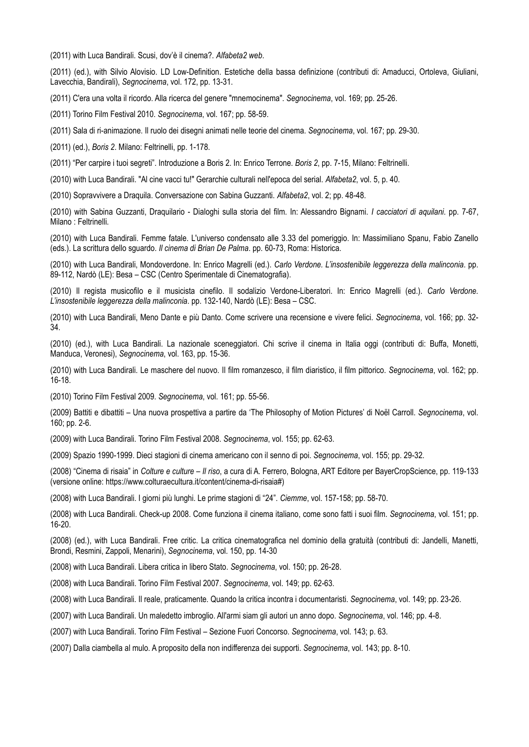(2011) with Luca Bandirali. Scusi, dov'è il cinema?. *Alfabeta2 web*.

(2011) (ed.), with Silvio Alovisio. LD Low-Definition. Estetiche della bassa definizione (contributi di: Amaducci, Ortoleva, Giuliani, Lavecchia, Bandirali), *Segnocinema*, vol. 172, pp. 13-31.

(2011) C'era una volta il ricordo. Alla ricerca del genere "mnemocinema". *Segnocinema*, vol. 169; pp. 25-26.

(2011) Torino Film Festival 2010. *Segnocinema*, vol. 167; pp. 58-59.

(2011) Sala di ri-animazione. Il ruolo dei disegni animati nelle teorie del cinema. *Segnocinema*, vol. 167; pp. 29-30.

(2011) (ed.), *Boris 2*. Milano: Feltrinelli, pp. 1-178.

(2011) "Per carpire i tuoi segreti". Introduzione a Boris 2. In: Enrico Terrone. *Boris 2*, pp. 7-15, Milano: Feltrinelli.

(2010) with Luca Bandirali. "Al cine vacci tu!" Gerarchie culturali nell'epoca del serial. *Alfabeta2*, vol. 5, p. 40.

(2010) Sopravvivere a Draquila. Conversazione con Sabina Guzzanti. *Alfabeta2*, vol. 2; pp. 48-48.

(2010) with Sabina Guzzanti, Draquilario - Dialoghi sulla storia del film. In: Alessandro Bignami. *I cacciatori di aquilani*. pp. 7-67, Milano : Feltrinelli.

(2010) with Luca Bandirali. Femme fatale. L'universo condensato alle 3.33 del pomeriggio. In: Massimiliano Spanu, Fabio Zanello (eds.). La scrittura dello sguardo. *Il cinema di Brian De Palma*. pp. 60-73, Roma: Historica.

(2010) with Luca Bandirali, Mondoverdone. In: Enrico Magrelli (ed.). *Carlo Verdone. L'insostenibile leggerezza della malinconia*. pp. 89-112, Nardò (LE): Besa – CSC (Centro Sperimentale di Cinematografia).

(2010) Il regista musicofilo e il musicista cinefilo. Il sodalizio Verdone-Liberatori. In: Enrico Magrelli (ed.). *Carlo Verdone. L'insostenibile leggerezza della malinconia*. pp. 132-140, Nardò (LE): Besa – CSC.

(2010) with Luca Bandirali, Meno Dante e più Danto. Come scrivere una recensione e vivere felici. *Segnocinema*, vol. 166; pp. 32- 34.

(2010) (ed.), with Luca Bandirali. La nazionale sceneggiatori. Chi scrive il cinema in Italia oggi (contributi di: Buffa, Monetti, Manduca, Veronesi), *Segnocinema*, vol. 163, pp. 15-36.

(2010) with Luca Bandirali. Le maschere del nuovo. Il film romanzesco, il film diaristico, il film pittorico. *Segnocinema*, vol. 162; pp. 16-18.

(2010) Torino Film Festival 2009. *Segnocinema*, vol. 161; pp. 55-56.

(2009) Battiti e dibattiti – Una nuova prospettiva a partire da 'The Philosophy of Motion Pictures' di Noël Carroll. *Segnocinema*, vol. 160; pp. 2-6.

(2009) with Luca Bandirali. Torino Film Festival 2008. *Segnocinema*, vol. 155; pp. 62-63.

(2009) Spazio 1990-1999. Dieci stagioni di cinema americano con il senno di poi. *Segnocinema*, vol. 155; pp. 29-32.

(2008) "Cinema di risaia" in *Colture e culture – Il riso*, a cura di A. Ferrero, Bologna, ART Editore per BayerCropScience, pp. 119-133 (versione online: https://www.colturaecultura.it/content/cinema-di-risaia#)

(2008) with Luca Bandirali. I giorni più lunghi. Le prime stagioni di "24". *Ciemme*, vol. 157-158; pp. 58-70.

(2008) with Luca Bandirali. Check-up 2008. Come funziona il cinema italiano, come sono fatti i suoi film. *Segnocinema*, vol. 151; pp. 16-20.

(2008) (ed.), with Luca Bandirali. Free critic. La critica cinematografica nel dominio della gratuità (contributi di: Jandelli, Manetti, Brondi, Resmini, Zappoli, Menarini), *Segnocinema*, vol. 150, pp. 14-30

(2008) with Luca Bandirali. Libera critica in libero Stato. *Segnocinema*, vol. 150; pp. 26-28.

(2008) with Luca Bandirali. Torino Film Festival 2007. *Segnocinema*, vol. 149; pp. 62-63.

(2008) with Luca Bandirali. Il reale, praticamente. Quando la critica incontra i documentaristi. *Segnocinema*, vol. 149; pp. 23-26.

(2007) with Luca Bandirali. Un maledetto imbroglio. All'armi siam gli autori un anno dopo. *Segnocinema*, vol. 146; pp. 4-8.

(2007) with Luca Bandirali. Torino Film Festival – Sezione Fuori Concorso. *Segnocinema*, vol. 143; p. 63.

(2007) Dalla ciambella al mulo. A proposito della non indifferenza dei supporti. *Segnocinema*, vol. 143; pp. 8-10.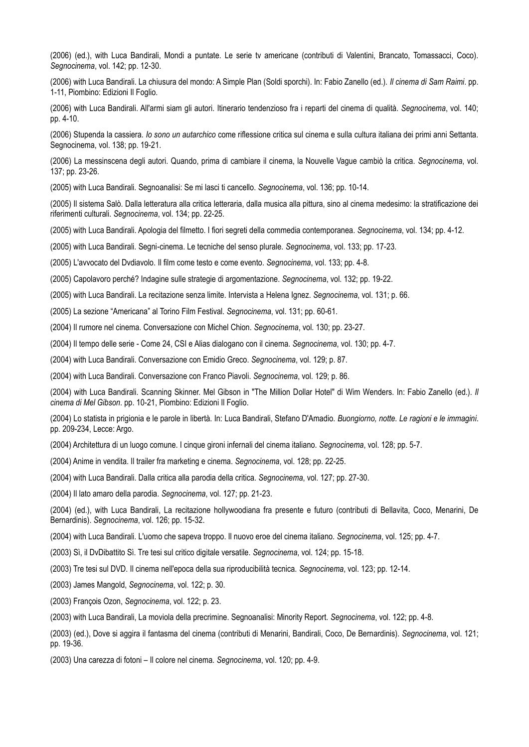(2006) (ed.), with Luca Bandirali, Mondi a puntate. Le serie tv americane (contributi di Valentini, Brancato, Tomassacci, Coco). *Segnocinema*, vol. 142; pp. 12-30.

(2006) with Luca Bandirali. La chiusura del mondo: A Simple Plan (Soldi sporchi). In: Fabio Zanello (ed.). *Il cinema di Sam Raimi*. pp. 1-11, Piombino: Edizioni Il Foglio.

(2006) with Luca Bandirali. All'armi siam gli autori. Itinerario tendenzioso fra i reparti del cinema di qualità. *Segnocinema*, vol. 140; pp. 4-10.

(2006) Stupenda la cassiera. *Io sono un autarchico* come riflessione critica sul cinema e sulla cultura italiana dei primi anni Settanta. Segnocinema, vol. 138; pp. 19-21.

(2006) La messinscena degli autori. Quando, prima di cambiare il cinema, la Nouvelle Vague cambiò la critica. *Segnocinema*, vol. 137; pp. 23-26.

(2005) with Luca Bandirali. Segnoanalisi: Se mi lasci ti cancello. *Segnocinema*, vol. 136; pp. 10-14.

(2005) Il sistema Salò. Dalla letteratura alla critica letteraria, dalla musica alla pittura, sino al cinema medesimo: la stratificazione dei riferimenti culturali. *Segnocinema*, vol. 134; pp. 22-25.

(2005) with Luca Bandirali. Apologia del filmetto. I fiori segreti della commedia contemporanea. *Segnocinema*, vol. 134; pp. 4-12.

(2005) with Luca Bandirali. Segni-cinema. Le tecniche del senso plurale. *Segnocinema*, vol. 133; pp. 17-23.

(2005) L'avvocato del Dvdiavolo. Il film come testo e come evento. *Segnocinema*, vol. 133; pp. 4-8.

(2005) Capolavoro perché? Indagine sulle strategie di argomentazione. *Segnocinema*, vol. 132; pp. 19-22.

(2005) with Luca Bandirali. La recitazione senza limite. Intervista a Helena Ignez. *Segnocinema*, vol. 131; p. 66.

(2005) La sezione "Americana" al Torino Film Festival. *Segnocinema*, vol. 131; pp. 60-61.

(2004) Il rumore nel cinema. Conversazione con Michel Chion. *Segnocinema*, vol. 130; pp. 23-27.

(2004) Il tempo delle serie - Come 24, CSI e Alias dialogano con il cinema. *Segnocinema*, vol. 130; pp. 4-7.

(2004) with Luca Bandirali. Conversazione con Emidio Greco. *Segnocinema*, vol. 129; p. 87.

(2004) with Luca Bandirali. Conversazione con Franco Piavoli. *Segnocinema*, vol. 129; p. 86.

(2004) with Luca Bandirali. Scanning Skinner. Mel Gibson in "The Million Dollar Hotel" di Wim Wenders. In: Fabio Zanello (ed.). *Il cinema di Mel Gibson*. pp. 10-21, Piombino: Edizioni Il Foglio.

(2004) Lo statista in prigionia e le parole in libertà. In: Luca Bandirali, Stefano D'Amadio. *Buongiorno, notte. Le ragioni e le immagini*. pp. 209-234, Lecce: Argo.

(2004) Architettura di un luogo comune. I cinque gironi infernali del cinema italiano. *Segnocinema*, vol. 128; pp. 5-7.

- (2004) Anime in vendita. Il trailer fra marketing e cinema. *Segnocinema*, vol. 128; pp. 22-25.
- (2004) with Luca Bandirali. Dalla critica alla parodia della critica. *Segnocinema*, vol. 127; pp. 27-30.

(2004) Il lato amaro della parodia. *Segnocinema*, vol. 127; pp. 21-23.

(2004) (ed.), with Luca Bandirali, La recitazione hollywoodiana fra presente e futuro (contributi di Bellavita, Coco, Menarini, De Bernardinis). *Segnocinema*, vol. 126; pp. 15-32.

(2004) with Luca Bandirali. L'uomo che sapeva troppo. Il nuovo eroe del cinema italiano. *Segnocinema*, vol. 125; pp. 4-7.

(2003) Sì, il DvDibattito Sì. Tre tesi sul critico digitale versatile. *Segnocinema*, vol. 124; pp. 15-18.

(2003) Tre tesi sul DVD. Il cinema nell'epoca della sua riproducibilità tecnica. *Segnocinema*, vol. 123; pp. 12-14.

(2003) James Mangold, *Segnocinema*, vol. 122; p. 30.

(2003) François Ozon, *Segnocinema*, vol. 122; p. 23.

(2003) with Luca Bandirali, La moviola della precrimine. Segnoanalisi: Minority Report. *Segnocinema*, vol. 122; pp. 4-8.

(2003) (ed.), Dove si aggira il fantasma del cinema (contributi di Menarini, Bandirali, Coco, De Bernardinis). *Segnocinema*, vol. 121; pp. 19-36.

(2003) Una carezza di fotoni – Il colore nel cinema. *Segnocinema*, vol. 120; pp. 4-9.